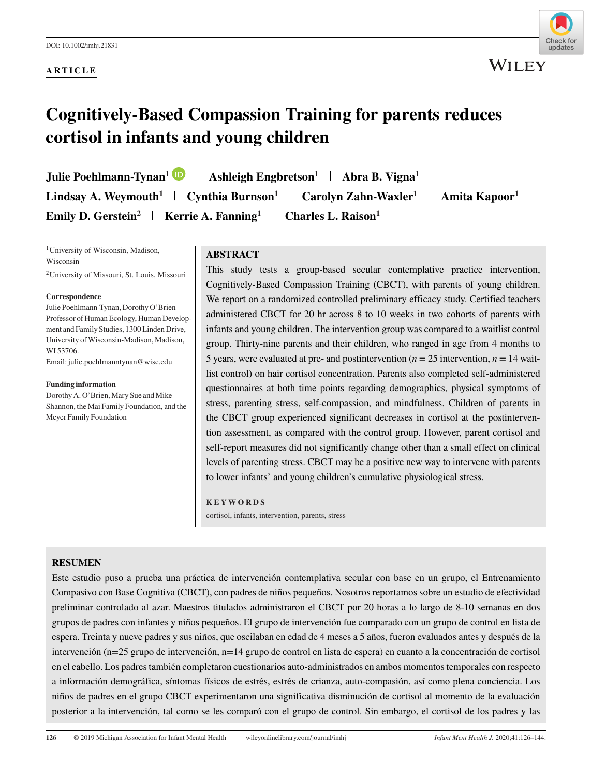#### **ARTICLE**



**WILEY** 

# **Cognitively-Based Compassion Training for parents reduces cortisol in infants and young children**

**Julie Poehlmann-Tynan<sup>1</sup> <b>Ashleigh Engbretson**<sup>1</sup> **Abra B. Vigna**<sup>1</sup> **Lindsay A. Weymouth<sup>1</sup>**  $\mid$  **Cynthia Burnson<sup>1</sup>**  $\mid$  **Carolyn Zahn-Waxler<sup>1</sup>**  $\mid$  **Amita Kapoor<sup>1</sup>**  $\mid$ **Emily D. Gerstein<sup>2</sup> | Kerrie A. Fanning<sup>1</sup> | Charles L. Raison<sup>1</sup>** 

<sup>1</sup>University of Wisconsin, Madison, Wisconsin

2University of Missouri, St. Louis, Missouri

#### **Correspondence**

Julie Poehlmann-Tynan, Dorothy O'Brien Professor of Human Ecology, Human Development and Family Studies, 1300 Linden Drive, University ofWisconsin-Madison, Madison, WI 53706.

Email: julie.poehlmanntynan@wisc.edu

#### **Funding information**

Dorothy A. O'Brien, Mary Sue and Mike Shannon, the Mai Family Foundation, and the Meyer Family Foundation

#### **ABSTRACT**

This study tests a group-based secular contemplative practice intervention, Cognitively-Based Compassion Training (CBCT), with parents of young children. We report on a randomized controlled preliminary efficacy study. Certified teachers administered CBCT for 20 hr across 8 to 10 weeks in two cohorts of parents with infants and young children. The intervention group was compared to a waitlist control group. Thirty-nine parents and their children, who ranged in age from 4 months to 5 years, were evaluated at pre- and postintervention ( $n = 25$  intervention,  $n = 14$  waitlist control) on hair cortisol concentration. Parents also completed self-administered questionnaires at both time points regarding demographics, physical symptoms of stress, parenting stress, self-compassion, and mindfulness. Children of parents in the CBCT group experienced significant decreases in cortisol at the postintervention assessment, as compared with the control group. However, parent cortisol and self-report measures did not significantly change other than a small effect on clinical levels of parenting stress. CBCT may be a positive new way to intervene with parents to lower infants' and young children's cumulative physiological stress.

#### **KEYWORDS**

cortisol, infants, intervention, parents, stress

#### **RESUMEN**

Este estudio puso a prueba una práctica de intervención contemplativa secular con base en un grupo, el Entrenamiento Compasivo con Base Cognitiva (CBCT), con padres de niños pequeños. Nosotros reportamos sobre un estudio de efectividad preliminar controlado al azar. Maestros titulados administraron el CBCT por 20 horas a lo largo de 8-10 semanas en dos grupos de padres con infantes y niños pequeños. El grupo de intervención fue comparado con un grupo de control en lista de espera. Treinta y nueve padres y sus niños, que oscilaban en edad de 4 meses a 5 años, fueron evaluados antes y después de la intervención (n=25 grupo de intervención, n=14 grupo de control en lista de espera) en cuanto a la concentración de cortisol en el cabello. Los padres también completaron cuestionarios auto-administrados en ambos momentos temporales con respecto a información demográfica, síntomas físicos de estrés, estrés de crianza, auto-compasión, así como plena conciencia. Los niños de padres en el grupo CBCT experimentaron una significativa disminución de cortisol al momento de la evaluación posterior a la intervención, tal como se les comparó con el grupo de control. Sin embargo, el cortisol de los padres y las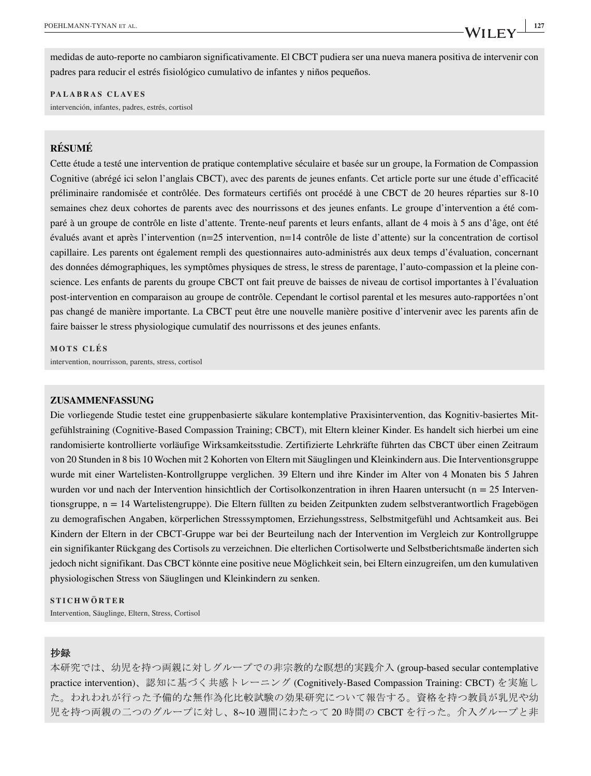medidas de auto-reporte no cambiaron significativamente. El CBCT pudiera ser una nueva manera positiva de intervenir con padres para reducir el estrés fisiológico cumulativo de infantes y niños pequeños.

#### **PALABRAS CLAVES** intervención, infantes, padres, estrés, cortisol

### **RÉSUMÉ**

Cette étude a testé une intervention de pratique contemplative séculaire et basée sur un groupe, la Formation de Compassion Cognitive (abrégé ici selon l'anglais CBCT), avec des parents de jeunes enfants. Cet article porte sur une étude d'efficacité préliminaire randomisée et contrôlée. Des formateurs certifiés ont procédé à une CBCT de 20 heures réparties sur 8-10 semaines chez deux cohortes de parents avec des nourrissons et des jeunes enfants. Le groupe d'intervention a été comparé à un groupe de contrôle en liste d'attente. Trente-neuf parents et leurs enfants, allant de 4 mois à 5 ans d'âge, ont été évalués avant et après l'intervention (n=25 intervention, n=14 contrôle de liste d'attente) sur la concentration de cortisol capillaire. Les parents ont également rempli des questionnaires auto-administrés aux deux temps d'évaluation, concernant des données démographiques, les symptômes physiques de stress, le stress de parentage, l'auto-compassion et la pleine conscience. Les enfants de parents du groupe CBCT ont fait preuve de baisses de niveau de cortisol importantes à l'évaluation post-intervention en comparaison au groupe de contrôle. Cependant le cortisol parental et les mesures auto-rapportées n'ont pas changé de manière importante. La CBCT peut être une nouvelle manière positive d'intervenir avec les parents afin de faire baisser le stress physiologique cumulatif des nourrissons et des jeunes enfants.

**MOTS CLÉS**

intervention, nourrisson, parents, stress, cortisol

#### **ZUSAMMENFASSUNG**

Die vorliegende Studie testet eine gruppenbasierte säkulare kontemplative Praxisintervention, das Kognitiv-basiertes Mitgefühlstraining (Cognitive-Based Compassion Training; CBCT), mit Eltern kleiner Kinder. Es handelt sich hierbei um eine randomisierte kontrollierte vorläufige Wirksamkeitsstudie. Zertifizierte Lehrkräfte führten das CBCT über einen Zeitraum von 20 Stunden in 8 bis 10 Wochen mit 2 Kohorten von Eltern mit Säuglingen und Kleinkindern aus. Die Interventionsgruppe wurde mit einer Wartelisten-Kontrollgruppe verglichen. 39 Eltern und ihre Kinder im Alter von 4 Monaten bis 5 Jahren wurden vor und nach der Intervention hinsichtlich der Cortisolkonzentration in ihren Haaren untersucht (n = 25 Interventionsgruppe, n = 14 Wartelistengruppe). Die Eltern füllten zu beiden Zeitpunkten zudem selbstverantwortlich Fragebögen zu demografischen Angaben, körperlichen Stresssymptomen, Erziehungsstress, Selbstmitgefühl und Achtsamkeit aus. Bei Kindern der Eltern in der CBCT-Gruppe war bei der Beurteilung nach der Intervention im Vergleich zur Kontrollgruppe ein signifikanter Rückgang des Cortisols zu verzeichnen. Die elterlichen Cortisolwerte und Selbstberichtsmaße änderten sich jedoch nicht signifikant. Das CBCT könnte eine positive neue Möglichkeit sein, bei Eltern einzugreifen, um den kumulativen physiologischen Stress von Säuglingen und Kleinkindern zu senken.

#### **STICHWÖRTER**

Intervention, Säuglinge, Eltern, Stress, Cortisol

## -<br>-<br>-<br>"<br>-<br>"<br>-<br><br><br><br><br><br><br><br><br><br><br><br><br><br><br><br><br><br><br><br><br>

では、幼児を持つ両親に対しグループでの非宗教的な瞑想的実践介入 (group-based secular contemplative 本研究では、幼児を持つ両親に対しグループでの非宗教的な瞑想的実践介入 (group-based secular contemplative<br>practice intervention)、認知に基づく共感トレーニング (Cognitively-Based Compassion Training: CBCT) を実施し practice intervention)、認知に基づく共感トレーニング (Cognitively-Based Compassion Training: CBCT) を実施し<br>た。われわれが行った予備的な無作為化比較試験の効果研究について報告する。資格を持つ教員が乳児や幼 -<br>た。われわれが行った予備的な無作為化比較試験の効果研究について報告する。資格を持つ教員が乳児や幼<br>児を持つ両親の二つのグループに対し、8~10 週間にわたって20 時間の CBCT を行った。介入グループと非 為化比較試験の効果研究について報告する。資<br>し、8∼10 週間にわたって 20 時間の CBCT を行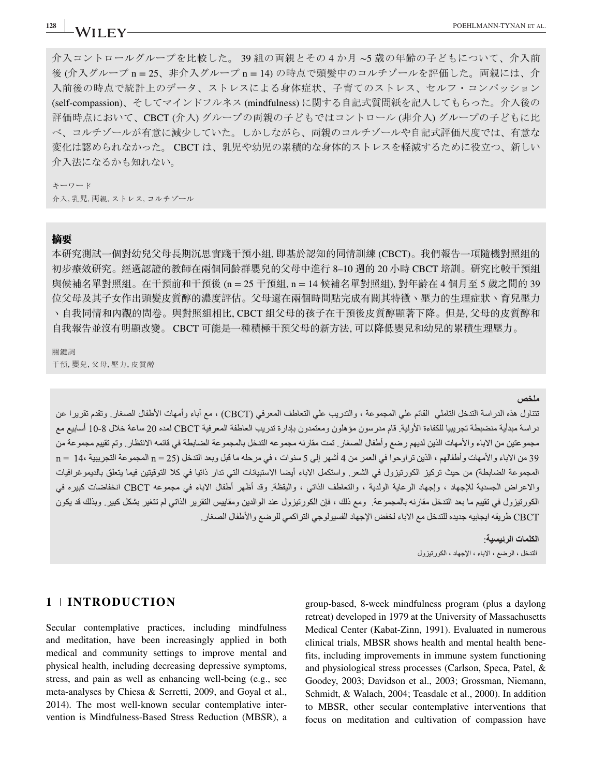# **128 WII FY** POEHLMANN-TYNAN ET AL.

▼▼ 11LL 1<br>介入コントロールグループを比較した。 39 組の両親とその4か月 ~5 歳の年齢の子どもについて、介入前<br>後 (介入グループ n = 25、非介入グループ n = 14) の時点で頭髪中のコルチゾールを評価した。両親には、介 後(介入グループ n = 25、非介入グループ n = 14)の時点で頭髪中のコルチゾール <mark>\グループ n = 25、非介入グループ n = 14)</mark> の時点で頭髪中のコルチゾールを評価した。両親には、介<br>の時点で統計上のデータ、ストレスによる身体症状、子育てのストレス、セルフ・コンパッション<br>mpassion)、そしてマインドフルネス (mindfulness) に関する自記式質問紙を記入してもらった。介入後の (self-compassion)、そしてマインドフルネス (mindfulness) に関する自記式質問紙を記入してもらった。介入後の passion)、そしてマインドフルネス (mindfulness) に関する自記式質問紙を記入してもらった。介入後の<br>において、<mark>CBCT</mark> (介入) グループの両親の子どもではコントロール (非介入) グループの子どもに比 べ、コルチゾールが有意に減少していた。しかしながら、両親のコルチゾールや自記式評価尺度では、有意な<br>変化は認められなかった。 CBCT は、乳児や幼児の累積的な身体的ストレスを軽減するために役立つ、新しい .、CBCT (介入) グループの両親の子どもではコントロール (非介入) グループの子どもに比<br>が有意に減少していた。しかしながら、両親のコルチゾールや自記式評価尺度では、有意な 変化は認められなかった。 C<br>介入法になるかも知れない。

キーワード 介入, 乳児, 両親, ストレス, コルチゾール

#### 摘要

本研究測試一個對幼兒父母長期沉思實踐干預小組, 即基於認知的同情訓練 (CBCT)。我們報告一項隨機對照組的 初步療效研究。經過認證的教師在兩個同齡群嬰兒的父母中進行 8-10 週的 20 小時 CBCT 培訓。研究比較干預組 與候補名單對照組。在干預前和干預後 (n = 25 干預組, n = 14 候補名單對照組), 對年齡在 4 個月至 5 歲之間的 39 位父母及其子女作出頭髮皮質醇的濃度評估。父母還在兩個時間點完成有關其特徵、壓力的生理症狀、育兒壓力 、自我同情和内觀的問卷。與對照組相比, CBCT 組父母的孩子在干預後皮質醇顯著下降。但是, 父母的皮質醇和 自我報告並沒有明顯改變。 CBCT 可能是一種積極干預父母的新方法, 可以降低嬰兒和幼兒的累積生理壓力。

關鍵詞 干預, 嬰兒, 父母, 壓力, 皮質醇

#### ملخص

تتناول هذه الدراسة التدخل التاملي القائم على المجموعة ، والتدريب على التعاطف المعرفي (CBCT) ، مع أباء وأمهات الأطفال الصغار ونقدم تقرير ا عن دراسة مبدأية منضبطة تجريبيا للكفاءة الأولية. قام مدرسون مؤهلون ومعتمدون بإدارة تدريب العاطفة المعرفية CBCT لمده 20 ساعة خلال 8-10 أسابيع مع مجمو عتين من الاباء والأمهات الذين لديهم رضع وأطفال الصغار . تمت مقارنه مجموعه التدخل بالمجموعة الضابطة في قائمه الانتظار . وتم تقييم مجموعة من 39 من الاباء والأمهات وأطفالهم ، الذين تراوحوا في العمر من 4 أشهر إلى 5 سنوات ، في مرحله ما قبل وبعد الندخل (25 = n المجموعة التجريبية ،14 = n = 14 المجموعة الضابطة) من حيث تركيز الكورتيزول في الشعر٬ واستكمل الاباء أيضا الاستبيانات التي تدار ذاتيا في كلا التوقيتين فيما يتعلق بالديموغرافيات والاعراض الجسدية للإجهاد ، وإجهاد الرعاية الولدية ، والتعاطف الذاتبي ، واليقظة ٍ وقد أظهر أطفال الاباء في مجموعه CBCT انخفاضات كبيره في الكورتيزول في تقييم ما بعد التدخل مقارنه بالمجموعة. ومع ذلك ، فإن الكورتيزول عند الوالدين ومقاييس التقرير الذاتي لم تتغير بشكل كبير ٍ وبذلك قد يكون CBCT طريقه ايجابيه جديده للتدخل مع الاباء لخفض الإجهاد الفسيولوجي التر اكمي للرضع والأطفال الصغار .

> الكلمات الرئيسية: التدخل ، الرضع ، الاباء ، الإجهاد ، الكورتيزول

#### **1 INTRODUCTION**

Secular contemplative practices, including mindfulness and meditation, have been increasingly applied in both medical and community settings to improve mental and physical health, including decreasing depressive symptoms, stress, and pain as well as enhancing well-being (e.g., see meta-analyses by Chiesa & Serretti, 2009, and Goyal et al., 2014). The most well-known secular contemplative intervention is Mindfulness-Based Stress Reduction (MBSR), a

group-based, 8-week mindfulness program (plus a daylong retreat) developed in 1979 at the University of Massachusetts Medical Center (Kabat-Zinn, 1991). Evaluated in numerous clinical trials, MBSR shows health and mental health benefits, including improvements in immune system functioning and physiological stress processes (Carlson, Speca, Patel, & Goodey, 2003; Davidson et al., 2003; Grossman, Niemann, Schmidt, & Walach, 2004; Teasdale et al., 2000). In addition to MBSR, other secular contemplative interventions that focus on meditation and cultivation of compassion have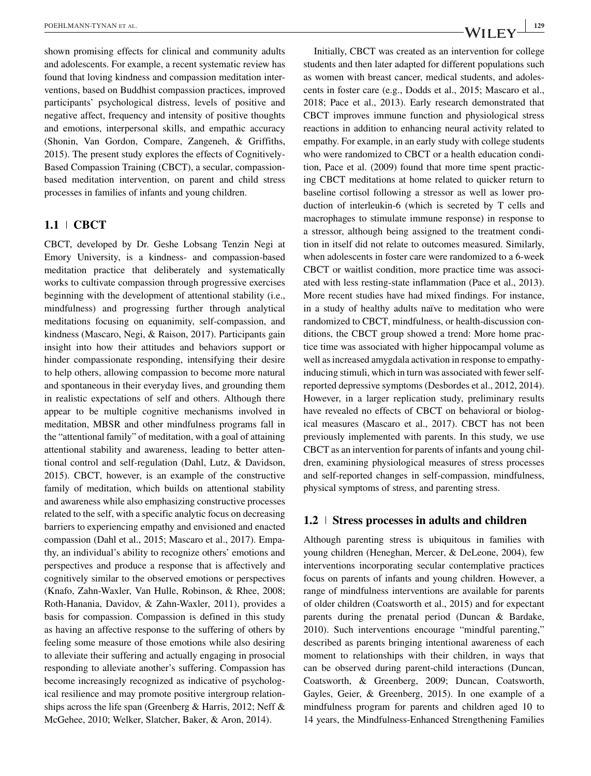shown promising effects for clinical and community adults and adolescents. For example, a recent systematic review has found that loving kindness and compassion meditation interventions, based on Buddhist compassion practices, improved participants' psychological distress, levels of positive and negative affect, frequency and intensity of positive thoughts and emotions, interpersonal skills, and empathic accuracy (Shonin, Van Gordon, Compare, Zangeneh, & Griffiths, 2015). The present study explores the effects of Cognitively-Based Compassion Training (CBCT), a secular, compassionbased meditation intervention, on parent and child stress processes in families of infants and young children.

#### **1.1 CBCT**

CBCT, developed by Dr. Geshe Lobsang Tenzin Negi at Emory University, is a kindness- and compassion-based meditation practice that deliberately and systematically works to cultivate compassion through progressive exercises beginning with the development of attentional stability (i.e., mindfulness) and progressing further through analytical meditations focusing on equanimity, self-compassion, and kindness (Mascaro, Negi, & Raison, 2017). Participants gain insight into how their attitudes and behaviors support or hinder compassionate responding, intensifying their desire to help others, allowing compassion to become more natural and spontaneous in their everyday lives, and grounding them in realistic expectations of self and others. Although there appear to be multiple cognitive mechanisms involved in meditation, MBSR and other mindfulness programs fall in the "attentional family" of meditation, with a goal of attaining attentional stability and awareness, leading to better attentional control and self-regulation (Dahl, Lutz, & Davidson, 2015). CBCT, however, is an example of the constructive family of meditation, which builds on attentional stability and awareness while also emphasizing constructive processes related to the self, with a specific analytic focus on decreasing barriers to experiencing empathy and envisioned and enacted compassion (Dahl et al., 2015; Mascaro et al., 2017). Empathy, an individual's ability to recognize others' emotions and perspectives and produce a response that is affectively and cognitively similar to the observed emotions or perspectives (Knafo, Zahn-Waxler, Van Hulle, Robinson, & Rhee, 2008; Roth-Hanania, Davidov, & Zahn-Waxler, 2011), provides a basis for compassion. Compassion is defined in this study as having an affective response to the suffering of others by feeling some measure of those emotions while also desiring to alleviate their suffering and actually engaging in prosocial responding to alleviate another's suffering. Compassion has become increasingly recognized as indicative of psychological resilience and may promote positive intergroup relationships across the life span (Greenberg & Harris, 2012; Neff & McGehee, 2010; Welker, Slatcher, Baker, & Aron, 2014).

Initially, CBCT was created as an intervention for college students and then later adapted for different populations such as women with breast cancer, medical students, and adolescents in foster care (e.g., Dodds et al., 2015; Mascaro et al., 2018; Pace et al., 2013). Early research demonstrated that CBCT improves immune function and physiological stress reactions in addition to enhancing neural activity related to empathy. For example, in an early study with college students who were randomized to CBCT or a health education condition, Pace et al. (2009) found that more time spent practicing CBCT meditations at home related to quicker return to baseline cortisol following a stressor as well as lower production of interleukin-6 (which is secreted by T cells and macrophages to stimulate immune response) in response to a stressor, although being assigned to the treatment condition in itself did not relate to outcomes measured. Similarly, when adolescents in foster care were randomized to a 6-week CBCT or waitlist condition, more practice time was associated with less resting-state inflammation (Pace et al., 2013). More recent studies have had mixed findings. For instance, in a study of healthy adults naïve to meditation who were randomized to CBCT, mindfulness, or health-discussion conditions, the CBCT group showed a trend: More home practice time was associated with higher hippocampal volume as well as increased amygdala activation in response to empathyinducing stimuli, which in turn was associated with fewer selfreported depressive symptoms (Desbordes et al., 2012, 2014). However, in a larger replication study, preliminary results have revealed no effects of CBCT on behavioral or biological measures (Mascaro et al., 2017). CBCT has not been previously implemented with parents. In this study, we use CBCT as an intervention for parents of infants and young children, examining physiological measures of stress processes and self-reported changes in self-compassion, mindfulness, physical symptoms of stress, and parenting stress.

#### **1.2 Stress processes in adults and children**

Although parenting stress is ubiquitous in families with young children (Heneghan, Mercer, & DeLeone, 2004), few interventions incorporating secular contemplative practices focus on parents of infants and young children. However, a range of mindfulness interventions are available for parents of older children (Coatsworth et al., 2015) and for expectant parents during the prenatal period (Duncan & Bardake, 2010). Such interventions encourage "mindful parenting," described as parents bringing intentional awareness of each moment to relationships with their children, in ways that can be observed during parent-child interactions (Duncan, Coatsworth, & Greenberg, 2009; Duncan, Coatsworth, Gayles, Geier, & Greenberg, 2015). In one example of a mindfulness program for parents and children aged 10 to 14 years, the Mindfulness-Enhanced Strengthening Families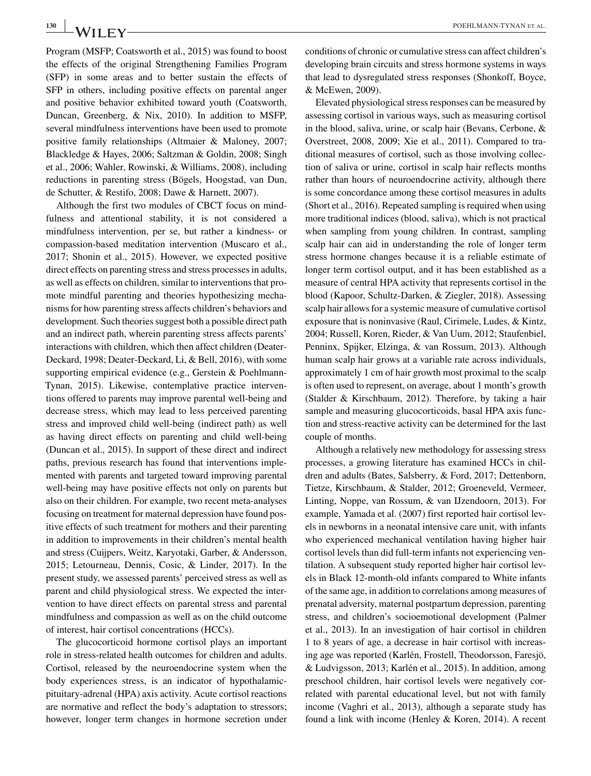Program (MSFP; Coatsworth et al., 2015) was found to boost the effects of the original Strengthening Families Program (SFP) in some areas and to better sustain the effects of SFP in others, including positive effects on parental anger and positive behavior exhibited toward youth (Coatsworth, Duncan, Greenberg, & Nix, 2010). In addition to MSFP, several mindfulness interventions have been used to promote positive family relationships (Altmaier & Maloney, 2007; Blackledge & Hayes, 2006; Saltzman & Goldin, 2008; Singh et al., 2006; Wahler, Rowinski, & Williams, 2008), including reductions in parenting stress (Bögels, Hoogstad, van Dun, de Schutter, & Restifo, 2008; Dawe & Harnett, 2007).

Although the first two modules of CBCT focus on mindfulness and attentional stability, it is not considered a mindfulness intervention, per se, but rather a kindness- or compassion-based meditation intervention (Muscaro et al., 2017; Shonin et al., 2015). However, we expected positive direct effects on parenting stress and stress processes in adults, as well as effects on children, similar to interventions that promote mindful parenting and theories hypothesizing mechanisms for how parenting stress affects children's behaviors and development. Such theories suggest both a possible direct path and an indirect path, wherein parenting stress affects parents' interactions with children, which then affect children (Deater-Deckard, 1998; Deater-Deckard, Li, & Bell, 2016), with some supporting empirical evidence (e.g., Gerstein & Poehlmann-Tynan, 2015). Likewise, contemplative practice interventions offered to parents may improve parental well-being and decrease stress, which may lead to less perceived parenting stress and improved child well-being (indirect path) as well as having direct effects on parenting and child well-being (Duncan et al., 2015). In support of these direct and indirect paths, previous research has found that interventions implemented with parents and targeted toward improving parental well-being may have positive effects not only on parents but also on their children. For example, two recent meta-analyses focusing on treatment for maternal depression have found positive effects of such treatment for mothers and their parenting in addition to improvements in their children's mental health and stress (Cuijpers, Weitz, Karyotaki, Garber, & Andersson, 2015; Letourneau, Dennis, Cosic, & Linder, 2017). In the present study, we assessed parents' perceived stress as well as parent and child physiological stress. We expected the intervention to have direct effects on parental stress and parental mindfulness and compassion as well as on the child outcome of interest, hair cortisol concentrations (HCCs).

The glucocorticoid hormone cortisol plays an important role in stress-related health outcomes for children and adults. Cortisol, released by the neuroendocrine system when the body experiences stress, is an indicator of hypothalamicpituitary-adrenal (HPA) axis activity. Acute cortisol reactions are normative and reflect the body's adaptation to stressors; however, longer term changes in hormone secretion under conditions of chronic or cumulative stress can affect children's developing brain circuits and stress hormone systems in ways that lead to dysregulated stress responses (Shonkoff, Boyce, & McEwen, 2009).

Elevated physiological stress responses can be measured by assessing cortisol in various ways, such as measuring cortisol in the blood, saliva, urine, or scalp hair (Bevans, Cerbone, & Overstreet, 2008, 2009; Xie et al., 2011). Compared to traditional measures of cortisol, such as those involving collection of saliva or urine, cortisol in scalp hair reflects months rather than hours of neuroendocrine activity, although there is some concordance among these cortisol measures in adults (Short et al., 2016). Repeated sampling is required when using more traditional indices (blood, saliva), which is not practical when sampling from young children. In contrast, sampling scalp hair can aid in understanding the role of longer term stress hormone changes because it is a reliable estimate of longer term cortisol output, and it has been established as a measure of central HPA activity that represents cortisol in the blood (Kapoor, Schultz-Darken, & Ziegler, 2018). Assessing scalp hair allows for a systemic measure of cumulative cortisol exposure that is noninvasive (Raul, Cirimele, Ludes, & Kintz, 2004; Russell, Koren, Rieder, & Van Uum, 2012; Staufenbiel, Penninx, Spijker, Elzinga, & van Rossum, 2013). Although human scalp hair grows at a variable rate across individuals, approximately 1 cm of hair growth most proximal to the scalp is often used to represent, on average, about 1 month's growth (Stalder & Kirschbaum, 2012). Therefore, by taking a hair sample and measuring glucocorticoids, basal HPA axis function and stress-reactive activity can be determined for the last couple of months.

Although a relatively new methodology for assessing stress processes, a growing literature has examined HCCs in children and adults (Bates, Salsberry, & Ford, 2017; Dettenborn, Tietze, Kirschbaum, & Stalder, 2012; Groeneveld, Vermeer, Linting, Noppe, van Rossum, & van IJzendoorn, 2013). For example, Yamada et al. (2007) first reported hair cortisol levels in newborns in a neonatal intensive care unit, with infants who experienced mechanical ventilation having higher hair cortisol levels than did full-term infants not experiencing ventilation. A subsequent study reported higher hair cortisol levels in Black 12-month-old infants compared to White infants of the same age, in addition to correlations among measures of prenatal adversity, maternal postpartum depression, parenting stress, and children's socioemotional development (Palmer et al., 2013). In an investigation of hair cortisol in children 1 to 8 years of age, a decrease in hair cortisol with increasing age was reported (Karlén, Frostell, Theodorsson, Faresjö, & Ludvigsson, 2013; Karlén et al., 2015). In addition, among preschool children, hair cortisol levels were negatively correlated with parental educational level, but not with family income (Vaghri et al., 2013), although a separate study has found a link with income (Henley & Koren, 2014). A recent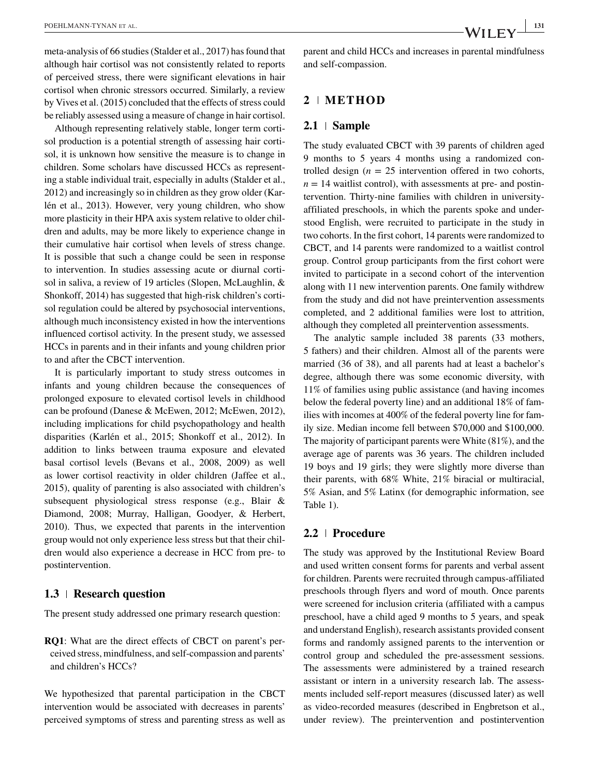meta-analysis of 66 studies (Stalder et al., 2017) has found that although hair cortisol was not consistently related to reports of perceived stress, there were significant elevations in hair cortisol when chronic stressors occurred. Similarly, a review by Vives et al. (2015) concluded that the effects of stress could be reliably assessed using a measure of change in hair cortisol.

Although representing relatively stable, longer term cortisol production is a potential strength of assessing hair cortisol, it is unknown how sensitive the measure is to change in children. Some scholars have discussed HCCs as representing a stable individual trait, especially in adults (Stalder et al., 2012) and increasingly so in children as they grow older (Karlén et al., 2013). However, very young children, who show more plasticity in their HPA axis system relative to older children and adults, may be more likely to experience change in their cumulative hair cortisol when levels of stress change. It is possible that such a change could be seen in response to intervention. In studies assessing acute or diurnal cortisol in saliva, a review of 19 articles (Slopen, McLaughlin, & Shonkoff, 2014) has suggested that high-risk children's cortisol regulation could be altered by psychosocial interventions, although much inconsistency existed in how the interventions influenced cortisol activity. In the present study, we assessed HCCs in parents and in their infants and young children prior to and after the CBCT intervention.

It is particularly important to study stress outcomes in infants and young children because the consequences of prolonged exposure to elevated cortisol levels in childhood can be profound (Danese & McEwen, 2012; McEwen, 2012), including implications for child psychopathology and health disparities (Karlén et al., 2015; Shonkoff et al., 2012). In addition to links between trauma exposure and elevated basal cortisol levels (Bevans et al., 2008, 2009) as well as lower cortisol reactivity in older children (Jaffee et al., 2015), quality of parenting is also associated with children's subsequent physiological stress response (e.g., Blair & Diamond, 2008; Murray, Halligan, Goodyer, & Herbert, 2010). Thus, we expected that parents in the intervention group would not only experience less stress but that their children would also experience a decrease in HCC from pre- to postintervention.

#### **1.3 Research question**

The present study addressed one primary research question:

**RQ1**: What are the direct effects of CBCT on parent's perceived stress, mindfulness, and self-compassion and parents' and children's HCCs?

We hypothesized that parental participation in the CBCT intervention would be associated with decreases in parents' perceived symptoms of stress and parenting stress as well as parent and child HCCs and increases in parental mindfulness and self-compassion.

#### **2 METHOD**

#### **2.1 Sample**

The study evaluated CBCT with 39 parents of children aged 9 months to 5 years 4 months using a randomized controlled design  $(n = 25)$  intervention offered in two cohorts,  $n = 14$  waitlist control), with assessments at pre- and postintervention. Thirty-nine families with children in universityaffiliated preschools, in which the parents spoke and understood English, were recruited to participate in the study in two cohorts. In the first cohort, 14 parents were randomized to CBCT, and 14 parents were randomized to a waitlist control group. Control group participants from the first cohort were invited to participate in a second cohort of the intervention along with 11 new intervention parents. One family withdrew from the study and did not have preintervention assessments completed, and 2 additional families were lost to attrition, although they completed all preintervention assessments.

The analytic sample included 38 parents (33 mothers, 5 fathers) and their children. Almost all of the parents were married (36 of 38), and all parents had at least a bachelor's degree, although there was some economic diversity, with 11% of families using public assistance (and having incomes below the federal poverty line) and an additional 18% of families with incomes at 400% of the federal poverty line for family size. Median income fell between \$70,000 and \$100,000. The majority of participant parents were White (81%), and the average age of parents was 36 years. The children included 19 boys and 19 girls; they were slightly more diverse than their parents, with 68% White, 21% biracial or multiracial, 5% Asian, and 5% Latinx (for demographic information, see Table 1).

#### **2.2 Procedure**

The study was approved by the Institutional Review Board and used written consent forms for parents and verbal assent for children. Parents were recruited through campus-affiliated preschools through flyers and word of mouth. Once parents were screened for inclusion criteria (affiliated with a campus preschool, have a child aged 9 months to 5 years, and speak and understand English), research assistants provided consent forms and randomly assigned parents to the intervention or control group and scheduled the pre-assessment sessions. The assessments were administered by a trained research assistant or intern in a university research lab. The assessments included self-report measures (discussed later) as well as video-recorded measures (described in Engbretson et al., under review). The preintervention and postintervention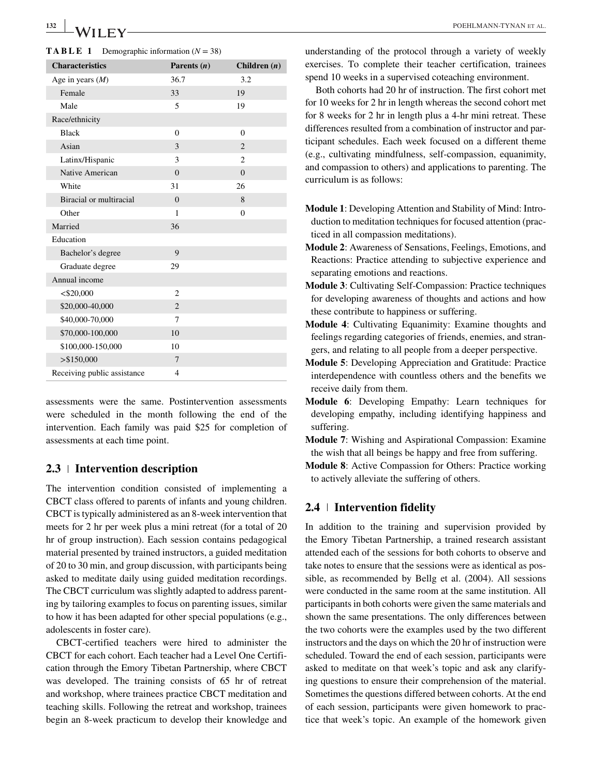|  | TABLE 1 | Demographic information ( $N = 38$ ) |
|--|---------|--------------------------------------|

| <b>Characteristics</b>      | Parents $(n)$  | Children $(n)$ |
|-----------------------------|----------------|----------------|
| Age in years $(M)$          | 36.7           | 3.2            |
| Female                      | 33             | 19             |
| Male                        | 5              | 19             |
| Race/ethnicity              |                |                |
| <b>Black</b>                | $\theta$       | $\theta$       |
| Asian                       | 3              | $\overline{2}$ |
| Latinx/Hispanic             | 3              | $\overline{c}$ |
| Native American             | $\Omega$       | $\Omega$       |
| White                       | 31             | 26             |
| Biracial or multiracial     | $\Omega$       | 8              |
| Other                       | $\mathbf{1}$   | $\Omega$       |
| Married                     | 36             |                |
| Education                   |                |                |
| Bachelor's degree           | 9              |                |
| Graduate degree             | 29             |                |
| Annual income               |                |                |
| $<$ \$20,000                | $\overline{c}$ |                |
| \$20,000-40,000             | $\overline{2}$ |                |
| \$40,000-70,000             | 7              |                |
| \$70,000-100,000            | 10             |                |
| \$100,000-150,000           | 10             |                |
| > \$150,000                 | 7              |                |
| Receiving public assistance | $\overline{4}$ |                |

assessments were the same. Postintervention assessments were scheduled in the month following the end of the intervention. Each family was paid \$25 for completion of assessments at each time point.

#### **2.3 Intervention description**

The intervention condition consisted of implementing a CBCT class offered to parents of infants and young children. CBCT is typically administered as an 8-week intervention that meets for 2 hr per week plus a mini retreat (for a total of 20 hr of group instruction). Each session contains pedagogical material presented by trained instructors, a guided meditation of 20 to 30 min, and group discussion, with participants being asked to meditate daily using guided meditation recordings. The CBCT curriculum was slightly adapted to address parenting by tailoring examples to focus on parenting issues, similar to how it has been adapted for other special populations (e.g., adolescents in foster care).

CBCT-certified teachers were hired to administer the CBCT for each cohort. Each teacher had a Level One Certification through the Emory Tibetan Partnership, where CBCT was developed. The training consists of 65 hr of retreat and workshop, where trainees practice CBCT meditation and teaching skills. Following the retreat and workshop, trainees begin an 8-week practicum to develop their knowledge and

understanding of the protocol through a variety of weekly exercises. To complete their teacher certification, trainees spend 10 weeks in a supervised coteaching environment.

Both cohorts had 20 hr of instruction. The first cohort met for 10 weeks for 2 hr in length whereas the second cohort met for 8 weeks for 2 hr in length plus a 4-hr mini retreat. These differences resulted from a combination of instructor and participant schedules. Each week focused on a different theme (e.g., cultivating mindfulness, self-compassion, equanimity, and compassion to others) and applications to parenting. The curriculum is as follows:

- **Module 1**: Developing Attention and Stability of Mind: Introduction to meditation techniques for focused attention (practiced in all compassion meditations).
- **Module 2**: Awareness of Sensations, Feelings, Emotions, and Reactions: Practice attending to subjective experience and separating emotions and reactions.
- **Module 3**: Cultivating Self-Compassion: Practice techniques for developing awareness of thoughts and actions and how these contribute to happiness or suffering.
- **Module 4**: Cultivating Equanimity: Examine thoughts and feelings regarding categories of friends, enemies, and strangers, and relating to all people from a deeper perspective.
- **Module 5**: Developing Appreciation and Gratitude: Practice interdependence with countless others and the benefits we receive daily from them.
- **Module 6**: Developing Empathy: Learn techniques for developing empathy, including identifying happiness and suffering.
- **Module 7**: Wishing and Aspirational Compassion: Examine the wish that all beings be happy and free from suffering.
- **Module 8**: Active Compassion for Others: Practice working to actively alleviate the suffering of others.

#### **2.4 Intervention fidelity**

In addition to the training and supervision provided by the Emory Tibetan Partnership, a trained research assistant attended each of the sessions for both cohorts to observe and take notes to ensure that the sessions were as identical as possible, as recommended by Bellg et al. (2004). All sessions were conducted in the same room at the same institution. All participants in both cohorts were given the same materials and shown the same presentations. The only differences between the two cohorts were the examples used by the two different instructors and the days on which the 20 hr of instruction were scheduled. Toward the end of each session, participants were asked to meditate on that week's topic and ask any clarifying questions to ensure their comprehension of the material. Sometimes the questions differed between cohorts. At the end of each session, participants were given homework to practice that week's topic. An example of the homework given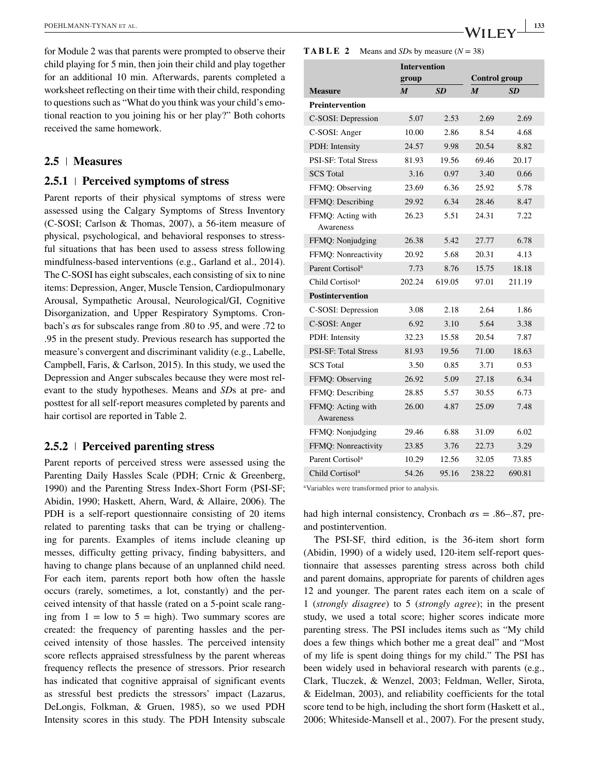for Module 2 was that parents were prompted to observe their child playing for 5 min, then join their child and play together for an additional 10 min. Afterwards, parents completed a worksheet reflecting on their time with their child, responding to questions such as "What do you think was your child's emotional reaction to you joining his or her play?" Both cohorts received the same homework.

#### **2.5 Measures**

#### **2.5.1 Perceived symptoms of stress**

Parent reports of their physical symptoms of stress were assessed using the Calgary Symptoms of Stress Inventory (C-SOSI; Carlson & Thomas, 2007), a 56-item measure of physical, psychological, and behavioral responses to stressful situations that has been used to assess stress following mindfulness-based interventions (e.g., Garland et al., 2014). The C-SOSI has eight subscales, each consisting of six to nine items: Depression, Anger, Muscle Tension, Cardiopulmonary Arousal, Sympathetic Arousal, Neurological/GI, Cognitive Disorganization, and Upper Respiratory Symptoms. Cronbach's  $\alpha$ s for subscales range from .80 to .95, and were .72 to .95 in the present study. Previous research has supported the measure's convergent and discriminant validity (e.g., Labelle, Campbell, Faris, & Carlson, 2015). In this study, we used the Depression and Anger subscales because they were most relevant to the study hypotheses. Means and *SD*s at pre- and posttest for all self-report measures completed by parents and hair cortisol are reported in Table 2.

#### **2.5.2 Perceived parenting stress**

Parent reports of perceived stress were assessed using the Parenting Daily Hassles Scale (PDH; Crnic & Greenberg, 1990) and the Parenting Stress Index-Short Form (PSI-SF; Abidin, 1990; Haskett, Ahern, Ward, & Allaire, 2006). The PDH is a self-report questionnaire consisting of 20 items related to parenting tasks that can be trying or challenging for parents. Examples of items include cleaning up messes, difficulty getting privacy, finding babysitters, and having to change plans because of an unplanned child need. For each item, parents report both how often the hassle occurs (rarely, sometimes, a lot, constantly) and the perceived intensity of that hassle (rated on a 5-point scale ranging from  $1 =$  low to  $5 =$  high). Two summary scores are created: the frequency of parenting hassles and the perceived intensity of those hassles. The perceived intensity score reflects appraised stressfulness by the parent whereas frequency reflects the presence of stressors. Prior research has indicated that cognitive appraisal of significant events as stressful best predicts the stressors' impact (Lazarus, DeLongis, Folkman, & Gruen, 1985), so we used PDH Intensity scores in this study. The PDH Intensity subscale

**TABLE 2** Means and *SDs* by measure  $(N = 38)$ 

|                                | Intervention |           |                      |           |  |  |  |
|--------------------------------|--------------|-----------|----------------------|-----------|--|--|--|
|                                | group        |           | <b>Control</b> group |           |  |  |  |
| <b>Measure</b>                 | M            | <b>SD</b> | $\boldsymbol{M}$     | <b>SD</b> |  |  |  |
| <b>Preintervention</b>         |              |           |                      |           |  |  |  |
| C-SOSI: Depression             | 5.07         | 2.53      | 2.69                 | 2.69      |  |  |  |
| C-SOSI: Anger                  | 10.00        | 2.86      | 8.54                 | 4.68      |  |  |  |
| PDH: Intensity                 | 24.57        | 9.98      | 20.54                | 8.82      |  |  |  |
| <b>PSI-SF: Total Stress</b>    | 81.93        | 19.56     | 69.46                | 20.17     |  |  |  |
| <b>SCS</b> Total               | 3.16         | 0.97      | 3.40                 | 0.66      |  |  |  |
| FFMO: Observing                | 23.69        | 6.36      | 25.92                | 5.78      |  |  |  |
| FFMQ: Describing               | 29.92        | 6.34      | 28.46                | 8.47      |  |  |  |
| FFMQ: Acting with<br>Awareness | 26.23        | 5.51      | 24.31                | 7.22      |  |  |  |
| FFMQ: Nonjudging               | 26.38        | 5.42      | 27.77                | 6.78      |  |  |  |
| FFMQ: Nonreactivity            | 20.92        | 5.68      | 20.31                | 4.13      |  |  |  |
| Parent Cortisol <sup>a</sup>   | 7.73         | 8.76      | 15.75                | 18.18     |  |  |  |
| Child Cortisol <sup>a</sup>    | 202.24       | 619.05    | 97.01                | 211.19    |  |  |  |
| <b>Postintervention</b>        |              |           |                      |           |  |  |  |
| C-SOSI: Depression             | 3.08         | 2.18      | 2.64                 | 1.86      |  |  |  |
| C-SOSI: Anger                  | 6.92         | 3.10      | 5.64                 | 3.38      |  |  |  |
| PDH: Intensity                 | 32.23        | 15.58     | 20.54                | 7.87      |  |  |  |
| <b>PSI-SF: Total Stress</b>    | 81.93        | 19.56     | 71.00                | 18.63     |  |  |  |
| <b>SCS</b> Total               | 3.50         | 0.85      | 3.71                 | 0.53      |  |  |  |
| FFMQ: Observing                | 26.92        | 5.09      | 27.18                | 6.34      |  |  |  |
| FFMO: Describing               | 28.85        | 5.57      | 30.55                | 6.73      |  |  |  |
| FFMQ: Acting with<br>Awareness | 26.00        | 4.87      | 25.09                | 7.48      |  |  |  |
| FFMQ: Nonjudging               | 29.46        | 6.88      | 31.09                | 6.02      |  |  |  |
| FFMQ: Nonreactivity            | 23.85        | 3.76      | 22.73                | 3.29      |  |  |  |
| Parent Cortisol <sup>a</sup>   | 10.29        | 12.56     | 32.05                | 73.85     |  |  |  |
| Child Cortisol <sup>a</sup>    | 54.26        | 95.16     | 238.22               | 690.81    |  |  |  |

aVariables were transformed prior to analysis.

had high internal consistency, Cronbach  $\alpha s = .86-.87$ , preand postintervention.

The PSI-SF, third edition, is the 36-item short form (Abidin, 1990) of a widely used, 120-item self-report questionnaire that assesses parenting stress across both child and parent domains, appropriate for parents of children ages 12 and younger. The parent rates each item on a scale of 1 (*strongly disagree*) to 5 (*strongly agree*); in the present study, we used a total score; higher scores indicate more parenting stress. The PSI includes items such as "My child does a few things which bother me a great deal" and "Most of my life is spent doing things for my child." The PSI has been widely used in behavioral research with parents (e.g., Clark, Tluczek, & Wenzel, 2003; Feldman, Weller, Sirota, & Eidelman, 2003), and reliability coefficients for the total score tend to be high, including the short form (Haskett et al., 2006; Whiteside-Mansell et al., 2007). For the present study,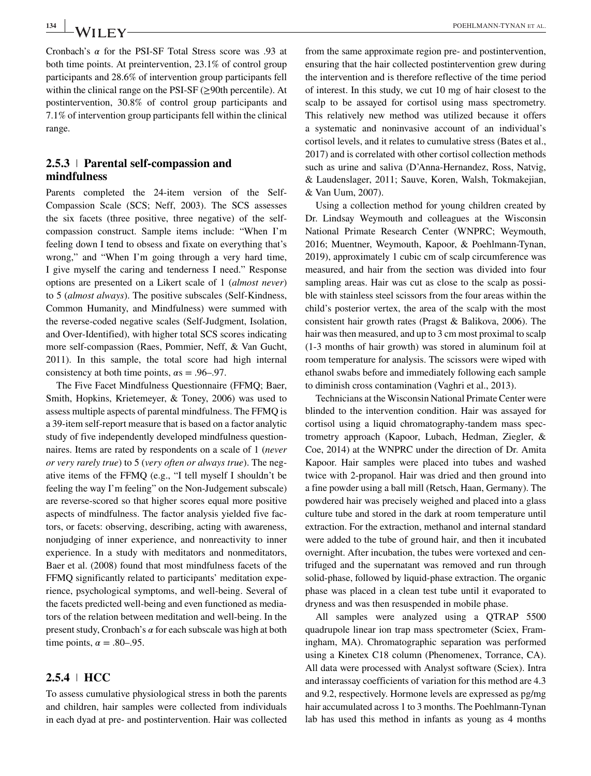Cronbach's  $\alpha$  for the PSI-SF Total Stress score was .93 at both time points. At preintervention, 23.1% of control group participants and 28.6% of intervention group participants fell within the clinical range on the PSI-SF ( $\geq$ 90th percentile). At postintervention, 30.8% of control group participants and 7.1% of intervention group participants fell within the clinical range.

#### **2.5.3 Parental self-compassion and mindfulness**

Parents completed the 24-item version of the Self-Compassion Scale (SCS; Neff, 2003). The SCS assesses the six facets (three positive, three negative) of the selfcompassion construct. Sample items include: "When I'm feeling down I tend to obsess and fixate on everything that's wrong," and "When I'm going through a very hard time, I give myself the caring and tenderness I need." Response options are presented on a Likert scale of 1 (*almost never*) to 5 (*almost always*). The positive subscales (Self-Kindness, Common Humanity, and Mindfulness) were summed with the reverse-coded negative scales (Self-Judgment, Isolation, and Over-Identified), with higher total SCS scores indicating more self-compassion (Raes, Pommier, Neff, & Van Gucht, 2011). In this sample, the total score had high internal consistency at both time points,  $\alpha s = .96-.97$ .

The Five Facet Mindfulness Questionnaire (FFMQ; Baer, Smith, Hopkins, Krietemeyer, & Toney, 2006) was used to assess multiple aspects of parental mindfulness. The FFMQ is a 39-item self-report measure that is based on a factor analytic study of five independently developed mindfulness questionnaires. Items are rated by respondents on a scale of 1 (*never or very rarely true*) to 5 (*very often or always true*). The negative items of the FFMQ (e.g., "I tell myself I shouldn't be feeling the way I'm feeling" on the Non-Judgement subscale) are reverse-scored so that higher scores equal more positive aspects of mindfulness. The factor analysis yielded five factors, or facets: observing, describing, acting with awareness, nonjudging of inner experience, and nonreactivity to inner experience. In a study with meditators and nonmeditators, Baer et al. (2008) found that most mindfulness facets of the FFMQ significantly related to participants' meditation experience, psychological symptoms, and well-being. Several of the facets predicted well-being and even functioned as mediators of the relation between meditation and well-being. In the present study, Cronbach's  $\alpha$  for each subscale was high at both time points,  $\alpha = .80-.95$ .

#### **2.5.4 HCC**

To assess cumulative physiological stress in both the parents and children, hair samples were collected from individuals in each dyad at pre- and postintervention. Hair was collected from the same approximate region pre- and postintervention, ensuring that the hair collected postintervention grew during the intervention and is therefore reflective of the time period of interest. In this study, we cut 10 mg of hair closest to the scalp to be assayed for cortisol using mass spectrometry. This relatively new method was utilized because it offers a systematic and noninvasive account of an individual's cortisol levels, and it relates to cumulative stress (Bates et al., 2017) and is correlated with other cortisol collection methods such as urine and saliva (D'Anna-Hernandez, Ross, Natvig, & Laudenslager, 2011; Sauve, Koren, Walsh, Tokmakejian, & Van Uum, 2007).

Using a collection method for young children created by Dr. Lindsay Weymouth and colleagues at the Wisconsin National Primate Research Center (WNPRC; Weymouth, 2016; Muentner, Weymouth, Kapoor, & Poehlmann-Tynan, 2019), approximately 1 cubic cm of scalp circumference was measured, and hair from the section was divided into four sampling areas. Hair was cut as close to the scalp as possible with stainless steel scissors from the four areas within the child's posterior vertex, the area of the scalp with the most consistent hair growth rates (Pragst & Balikova, 2006). The hair was then measured, and up to 3 cm most proximal to scalp (1-3 months of hair growth) was stored in aluminum foil at room temperature for analysis. The scissors were wiped with ethanol swabs before and immediately following each sample to diminish cross contamination (Vaghri et al., 2013).

Technicians at the Wisconsin National Primate Center were blinded to the intervention condition. Hair was assayed for cortisol using a liquid chromatography-tandem mass spectrometry approach (Kapoor, Lubach, Hedman, Ziegler, & Coe, 2014) at the WNPRC under the direction of Dr. Amita Kapoor. Hair samples were placed into tubes and washed twice with 2-propanol. Hair was dried and then ground into a fine powder using a ball mill (Retsch, Haan, Germany). The powdered hair was precisely weighed and placed into a glass culture tube and stored in the dark at room temperature until extraction. For the extraction, methanol and internal standard were added to the tube of ground hair, and then it incubated overnight. After incubation, the tubes were vortexed and centrifuged and the supernatant was removed and run through solid-phase, followed by liquid-phase extraction. The organic phase was placed in a clean test tube until it evaporated to dryness and was then resuspended in mobile phase.

All samples were analyzed using a QTRAP 5500 quadrupole linear ion trap mass spectrometer (Sciex, Framingham, MA). Chromatographic separation was performed using a Kinetex C18 column (Phenomenex, Torrance, CA). All data were processed with Analyst software (Sciex). Intra and interassay coefficients of variation for this method are 4.3 and 9.2, respectively. Hormone levels are expressed as pg/mg hair accumulated across 1 to 3 months. The Poehlmann-Tynan lab has used this method in infants as young as 4 months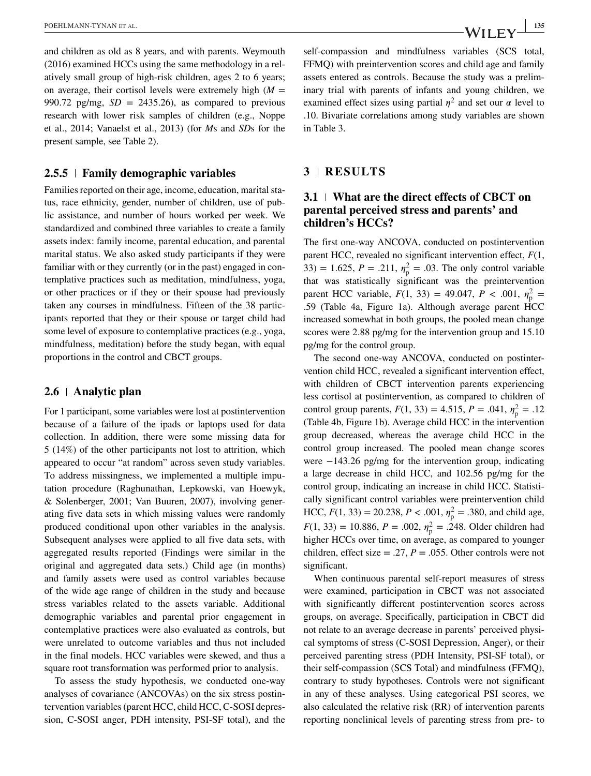and children as old as 8 years, and with parents. Weymouth (2016) examined HCCs using the same methodology in a relatively small group of high-risk children, ages 2 to 6 years; on average, their cortisol levels were extremely high  $(M =$ 990.72 pg/mg,  $SD = 2435.26$ ), as compared to previous research with lower risk samples of children (e.g., Noppe et al., 2014; Vanaelst et al., 2013) (for *M*s and *SD*s for the present sample, see Table 2).

#### **2.5.5 Family demographic variables**

Families reported on their age, income, education, marital status, race ethnicity, gender, number of children, use of public assistance, and number of hours worked per week. We standardized and combined three variables to create a family assets index: family income, parental education, and parental marital status. We also asked study participants if they were familiar with or they currently (or in the past) engaged in contemplative practices such as meditation, mindfulness, yoga, or other practices or if they or their spouse had previously taken any courses in mindfulness. Fifteen of the 38 participants reported that they or their spouse or target child had some level of exposure to contemplative practices (e.g., yoga, mindfulness, meditation) before the study began, with equal proportions in the control and CBCT groups.

#### **2.6 Analytic plan**

For 1 participant, some variables were lost at postintervention because of a failure of the ipads or laptops used for data collection. In addition, there were some missing data for 5 (14%) of the other participants not lost to attrition, which appeared to occur "at random" across seven study variables. To address missingness, we implemented a multiple imputation procedure (Raghunathan, Lepkowski, van Hoewyk, & Solenberger, 2001; Van Buuren, 2007), involving generating five data sets in which missing values were randomly produced conditional upon other variables in the analysis. Subsequent analyses were applied to all five data sets, with aggregated results reported (Findings were similar in the original and aggregated data sets.) Child age (in months) and family assets were used as control variables because of the wide age range of children in the study and because stress variables related to the assets variable. Additional demographic variables and parental prior engagement in contemplative practices were also evaluated as controls, but were unrelated to outcome variables and thus not included in the final models. HCC variables were skewed, and thus a square root transformation was performed prior to analysis.

To assess the study hypothesis, we conducted one-way analyses of covariance (ANCOVAs) on the six stress postintervention variables (parent HCC, child HCC, C-SOSI depression, C-SOSI anger, PDH intensity, PSI-SF total), and the self-compassion and mindfulness variables (SCS total, FFMQ) with preintervention scores and child age and family assets entered as controls. Because the study was a preliminary trial with parents of infants and young children, we examined effect sizes using partial  $\eta^2$  and set our  $\alpha$  level to .10. Bivariate correlations among study variables are shown in Table 3.

#### **3 RESULTS**

#### **3.1 What are the direct effects of CBCT on parental perceived stress and parents' and children's HCCs?**

The first one-way ANCOVA, conducted on postintervention parent HCC, revealed no significant intervention effect, *F*(1, 33) = 1.625,  $P = .211$ ,  $\eta_p^2 = .03$ . The only control variable that was statistically significant was the preintervention parent HCC variable,  $F(1, 33) = 49.047$ ,  $P < .001$ ,  $\eta_p^2 =$ .59 (Table 4a, Figure 1a). Although average parent HCC increased somewhat in both groups, the pooled mean change scores were 2.88 pg/mg for the intervention group and 15.10 pg/mg for the control group.

The second one-way ANCOVA, conducted on postintervention child HCC, revealed a significant intervention effect, with children of CBCT intervention parents experiencing less cortisol at postintervention, as compared to children of control group parents,  $F(1, 33) = 4.515$ ,  $P = .041$ ,  $\eta_p^2 = .12$ (Table 4b, Figure 1b). Average child HCC in the intervention group decreased, whereas the average child HCC in the control group increased. The pooled mean change scores were −143.26 pg/mg for the intervention group, indicating a large decrease in child HCC, and 102.56 pg/mg for the control group, indicating an increase in child HCC. Statistically significant control variables were preintervention child HCC,  $F(1, 33) = 20.238$ ,  $P < .001$ ,  $\eta_p^2 = .380$ , and child age,  $F(1, 33) = 10.886, P = .002, \eta_{\rm p}^2 = .248$ . Older children had higher HCCs over time, on average, as compared to younger children, effect size  $= .27$ ,  $P = .055$ . Other controls were not significant.

When continuous parental self-report measures of stress were examined, participation in CBCT was not associated with significantly different postintervention scores across groups, on average. Specifically, participation in CBCT did not relate to an average decrease in parents' perceived physical symptoms of stress (C-SOSI Depression, Anger), or their perceived parenting stress (PDH Intensity, PSI-SF total), or their self-compassion (SCS Total) and mindfulness (FFMQ), contrary to study hypotheses. Controls were not significant in any of these analyses. Using categorical PSI scores, we also calculated the relative risk (RR) of intervention parents reporting nonclinical levels of parenting stress from pre- to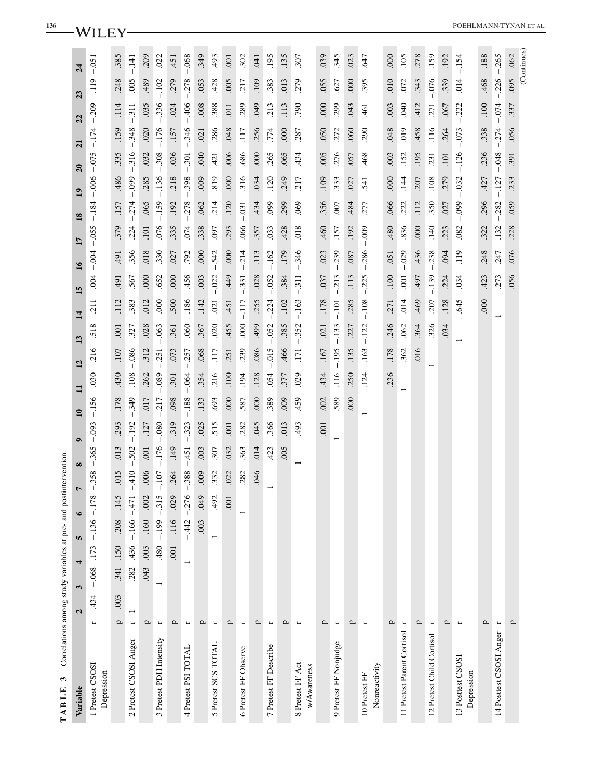| Correlations among study variables at pre- and postintervention<br>$\boldsymbol{\omega}$<br>TABLE |                               |                          |                |      |                          |                         |          |           |                        |              |                 |         |                |                        |                  |              |              |                |          |            |                      |        |                     |
|---------------------------------------------------------------------------------------------------|-------------------------------|--------------------------|----------------|------|--------------------------|-------------------------|----------|-----------|------------------------|--------------|-----------------|---------|----------------|------------------------|------------------|--------------|--------------|----------------|----------|------------|----------------------|--------|---------------------|
| Variable                                                                                          | $\mathbf{z}$                  | 3                        | 4              | S    | $\bullet$                |                         | $\infty$ | $\bullet$ | $\mathbf{a}$           | $\mathbf{u}$ | $\overline{12}$ | 13      | $\overline{1}$ | 15                     | $\mathbf{5}$     | $\mathbf{I}$ | $\mathbf{a}$ | ≘              | $\Omega$ | ন          | $\mathbf{z}$<br>22   |        | $\boldsymbol{z}$    |
| 1 Pretest CSOSI<br>Depression                                                                     | $\ddot{}$                     | .434                     | $-0.068$ .173  |      | $-.136$                  | $\mathbf{I}$<br>$-.178$ | 358      | $-365$    | $-0.093$               | $-156$       | .030            | .216    | 518            | 211                    | $-0.004$<br>604  | $-.055$      | $-184$       | $-0.006$       | $-0.075$ | $-174$     | $-209$               | 119    | $-0.051$            |
|                                                                                                   | $\mathbf{p}$                  | .003                     | .341 .150      |      | .208                     | .145                    | 015      | .013      | 293                    | .178         | 430             | .107    | .001           | .112                   | .491<br>.491     | 379          | .157         | .486           | .335     | .159       | 114                  | 248    | .385                |
| 2 Pretest CSOSI Anger                                                                             | $\overline{1}$                |                          | .282           | .436 | $-.166$                  | $-471$                  | .410     | $-502$    | $\mathbf{I}$<br>$-192$ | 349          | .108            | $-086$  | .327           | .383                   | 356<br>.567      | .224         | $-.274$      | $-0.099$       | $-316$   | $-.348$    | $-311$               | 005    | $-141$              |
|                                                                                                   | p                             |                          | .043           | .003 | .160                     | .002                    | 006      | .001      | .127                   | 017          | .262            | .312    | .028           | .012                   | 018<br>000       | 101          | .065         | .285           | .032     | 020        | .035                 | 489    | 209                 |
| 3 Pretest PDH Intensity                                                                           | $\vdash$                      | $\overline{\phantom{0}}$ |                | .480 | $-199$                   | $-315$                  | $-107$   | $-176$    | $-0.80$                | $-217$       | $-0.89$         | $-.251$ | $-.063$        | 000                    | 330<br>.652      | 076          | $-159$       | $-136$         | .308     | $-176$     | $-336$               | $-102$ | .022                |
|                                                                                                   | p                             |                          |                | .001 | .116                     | .029                    | .264     | .149      | .319                   | .098         | .301            | .073    | .361           | 500                    | .027<br>000      | .335         | .192         | .218           | .036     | .157       | .024                 | 279    | .451                |
| 4 Pretest PSI TOTAL                                                                               | $\overline{\phantom{a}}$      |                          | $\overline{ }$ |      | $-442$                   | $-276$                  | .388     | $-451$    | $-323$                 | $-188$       | $-.064$         | $-.257$ | .060           | .186                   | 792<br>456       | .074         | $-.278$      | .398           | .301     | $-.346$    | $-406$               | 278    | $-068$              |
|                                                                                                   | $\mathbf{p}$                  |                          |                |      | .003                     | 049                     | 000      | .003      | .025                   | .133         | 354             | .068    | .367           | .142                   | 000<br>.003      | .338         | .062         | 000            | 040      | .021       | 008                  | .053   | 349                 |
| 5 Pretest SCS TOTAL                                                                               | $\ddot{}$                     |                          |                |      | $\overline{ }$           | .492                    | 332      | .307      | 515                    | 693          | 216             | 117     | .020           | $-.022$<br>.021        | $-.542$          | .097         | .214         | .819           | .421     | .286       | .388                 | 428    | 493                 |
|                                                                                                   | $\mathbf{p}$                  |                          |                |      |                          | 001                     | .022     | .032      | 001                    | 000          | .100            | .251    | .455           | 451                    | 000<br>49        | 293          | .120         | 000            | 006      | .048       | 011                  | 005    | 001                 |
| 6 Pretest FF Observe                                                                              | $\vdash$                      |                          |                |      | $\overline{\phantom{0}}$ |                         | 282      | 363       | .282                   | 587          | 194             | 239     | 000            | $\mathbf{I}$<br>$-117$ | $-.214$<br>331   | .066         | $-.031$      | 316            | .686     | 117        | 289                  | 217    | 302                 |
|                                                                                                   | p                             |                          |                |      |                          |                         | 046      | 014       | 045                    | 000          | .128            | .086    | 499            | 255                    | .113<br>.028     | .357         | 434          | .034           | 000      | .256       | <b>Q49</b>           | .109   | .041                |
| 7 Pretest FF Describe                                                                             | $\overline{1}$                |                          |                |      |                          |                         |          | 423       | 366                    | .389         | .054            | $-.015$ | $-.052$        | $-.052$<br>$-.224$     | $-.162$          | .033         | .099         | .120           | .265     | .774       | 213                  | .383   | .195                |
|                                                                                                   | p                             |                          |                |      |                          |                         |          | 005       | .013                   | 009          | 377             | .466    | .385           | .102                   | .179<br>.384     | 428          | .299         | 249            | .065     | 000        | .113                 | .013   | 135                 |
| 8 Pretest FF Act<br>w/Awareness                                                                   | $\ddot{}$                     |                          |                |      |                          |                         |          |           | 493                    | 459          | 029             | .171    | $-.352$        | $-311$<br>$-163$       | $-.346$          | .018         | .069         | 217            | 434      | .287       | <b>O6L</b>           | 279    | 307                 |
|                                                                                                   | p                             |                          |                |      |                          |                         |          |           | 001                    | .002         | 434             | .167    | .021           | .178                   | .023<br>.037     | 460          | 356          | .109           | 005      | .050       | 000                  | .055   | 039                 |
| 9 Pretest FF Nonjudge                                                                             | $\vdash$                      |                          |                |      |                          |                         |          |           |                        | 589          | 116             | $-195$  | $-133$         | $-.213$<br>$-101$      | $-.239$          | .157         | .007         | .333           | .276     | .272       | 299                  | .627   | 345                 |
|                                                                                                   | p                             |                          |                |      |                          |                         |          |           |                        | 000          | 250             | .135    | .227           | .285                   | .087<br>.113     | .192         | .484         | .027           | .057     | .060       | .043                 | 000    | .023                |
| Nonreactivity<br>10 Pretest FF                                                                    | $\overline{\phantom{a}}$      |                          |                |      |                          |                         |          |           |                        |              | .124            | .163    | $-122$         | J.<br>$-108$           | $-.286$<br>225   | $-0.009$     | .277         | .541           | .468     | <b>290</b> | 461                  | 395    | 647                 |
|                                                                                                   | p                             |                          |                |      |                          |                         |          |           |                        |              | 236             | .178    | .246           | .271                   | .051<br>.100     | .480         | .066         | 000            | .003     | .048       | .003                 | 010    | 000                 |
| 11 Pretest Parent Cortisol                                                                        | $\blacksquare$                |                          |                |      |                          |                         |          |           |                        |              |                 | .362    | .062           | .014                   | $-0.029$<br>.001 | 836          | .222         | $\frac{14}{3}$ | .152     | 019        | 040                  | .072   | 105                 |
|                                                                                                   | p                             |                          |                |      |                          |                         |          |           |                        |              |                 | 016     | .364           | 469                    | .436<br>.497     | 000          | .112         | 207            | .195     | 458        | 412                  | 343    | 278                 |
| 12 Pretest Child Cortisol                                                                         | $\mathbf{r}$                  |                          |                |      |                          |                         |          |           |                        |              |                 |         | 326            | $-139$<br>.207         | $-.238$          | .140         | .350         | .108           | .231     | .116       | .271                 | $-076$ | .159                |
|                                                                                                   | $\mathbf{p}$                  |                          |                |      |                          |                         |          |           |                        |              |                 |         | 034            | .128                   | .094<br>.224     | .223         | .027         | 279            | .101     | .264       | .067                 | 339    | 192                 |
| 13 Posttest CSOSI<br>Depression                                                                   | $\ddot{}$                     |                          |                |      |                          |                         |          |           |                        |              |                 |         |                | .645                   | 119<br>.034      | $.082$       | $-0.099$     | $-.032$        | $-.126$  | $-.073$    | .222<br>$\mathbf{I}$ | .014   | $-154$              |
|                                                                                                   | p                             |                          |                |      |                          |                         |          |           |                        |              |                 |         |                | 000                    | 248<br>423       | 322          | 296          | .427           | .236     | .338       | .100                 | 468    | .188                |
| 14 Postest CSOSI Anger                                                                            | $\overleftarrow{\phantom{a}}$ |                          |                |      |                          |                         |          |           |                        |              |                 |         |                |                        | 247<br>273       | .132         | $-.282$      | $-.127$        | $-0.048$ | $-.274$    | $-074$               | $-226$ | $-265$              |
|                                                                                                   | p                             |                          |                |      |                          |                         |          |           |                        |              |                 |         |                |                        | .076<br>.056     | 228          | 059          | 233            | .391     | .056       | 337                  | .095   | (Continues)<br>.062 |
|                                                                                                   |                               |                          |                |      |                          |                         |          |           |                        |              |                 |         |                |                        |                  |              |              |                |          |            |                      |        |                     |

 $\mathbf{r}$  $\mathbf{r}$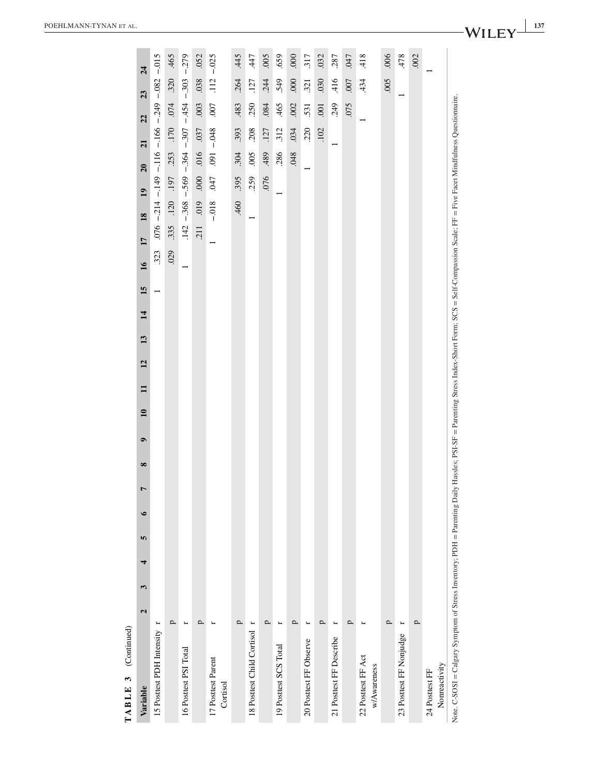TABLE 3 (Continued) **TABLE 3** (Continued)

| 24                      |                                                        | .465                                      |                                                  | .052    | $.112 - .025$                  | .445 | 447                        | 005  | 659                   | 000    | 317                    | .032 | 287                     | <b>CFO</b> | 418                               | 000 | 478                     | .002         |                                 |
|-------------------------|--------------------------------------------------------|-------------------------------------------|--------------------------------------------------|---------|--------------------------------|------|----------------------------|------|-----------------------|--------|------------------------|------|-------------------------|------------|-----------------------------------|-----|-------------------------|--------------|---------------------------------|
| 23                      | $0.16 - 0.214 - 149 - 116 - 166 - 249 - 0.082 - 0.015$ | $.120$ $.197$ $.253$ $.170$ $.074$ $.320$ | $-142 - 368 - 569 - 364 - 307 - 454 - 303 - 279$ | 038     |                                | .264 | .127                       | .244 | 549                   | 000    | 321                    | 030  | 416                     | <b>LOO</b> | 434                               | 005 |                         |              |                                 |
| 22                      |                                                        |                                           |                                                  | .003    |                                | .483 | 250                        | .084 | 465                   | $.002$ | 531                    | .001 | 249                     | .075       |                                   |     |                         |              |                                 |
| $\overline{z}$          |                                                        |                                           |                                                  | .037    | $100$ : 8 $+0.1 - 160$ .       | .393 | .208                       | .127 | .312                  | .034   | 220                    | .102 |                         |            |                                   |     |                         |              |                                 |
| $\overline{20}$         |                                                        |                                           |                                                  | 910     |                                | .304 | 005                        | .489 | .286                  | .048   |                        |      |                         |            |                                   |     |                         |              |                                 |
| $\overline{19}$         |                                                        |                                           |                                                  | $000$ . | <b>LFO</b>                     | .395 | 259                        | .076 |                       |        |                        |      |                         |            |                                   |     |                         |              |                                 |
| 18                      |                                                        |                                           |                                                  | .019    | $-.018$                        | .460 |                            |      |                       |        |                        |      |                         |            |                                   |     |                         |              |                                 |
| $\overline{17}$         |                                                        | .335                                      |                                                  | 211     |                                |      |                            |      |                       |        |                        |      |                         |            |                                   |     |                         |              |                                 |
| $\overline{16}$         | 323                                                    | .029                                      |                                                  |         |                                |      |                            |      |                       |        |                        |      |                         |            |                                   |     |                         |              |                                 |
| 15                      |                                                        |                                           |                                                  |         |                                |      |                            |      |                       |        |                        |      |                         |            |                                   |     |                         |              |                                 |
| $\overline{1}$          |                                                        |                                           |                                                  |         |                                |      |                            |      |                       |        |                        |      |                         |            |                                   |     |                         |              |                                 |
| 13                      |                                                        |                                           |                                                  |         |                                |      |                            |      |                       |        |                        |      |                         |            |                                   |     |                         |              |                                 |
|                         |                                                        |                                           |                                                  |         |                                |      |                            |      |                       |        |                        |      |                         |            |                                   |     |                         |              |                                 |
| 12                      |                                                        |                                           |                                                  |         |                                |      |                            |      |                       |        |                        |      |                         |            |                                   |     |                         |              |                                 |
| $\mathbf{I}$            |                                                        |                                           |                                                  |         |                                |      |                            |      |                       |        |                        |      |                         |            |                                   |     |                         |              |                                 |
| $\mathbf{10}$           |                                                        |                                           |                                                  |         |                                |      |                            |      |                       |        |                        |      |                         |            |                                   |     |                         |              |                                 |
| $\bullet$               |                                                        |                                           |                                                  |         |                                |      |                            |      |                       |        |                        |      |                         |            |                                   |     |                         |              |                                 |
| $\infty$                |                                                        |                                           |                                                  |         |                                |      |                            |      |                       |        |                        |      |                         |            |                                   |     |                         |              |                                 |
| $\overline{ }$          |                                                        |                                           |                                                  |         |                                |      |                            |      |                       |        |                        |      |                         |            |                                   |     |                         |              |                                 |
| $\bullet$               |                                                        |                                           |                                                  |         |                                |      |                            |      |                       |        |                        |      |                         |            |                                   |     |                         |              |                                 |
| In                      |                                                        |                                           |                                                  |         |                                |      |                            |      |                       |        |                        |      |                         |            |                                   |     |                         |              |                                 |
|                         |                                                        |                                           |                                                  |         |                                |      |                            |      |                       |        |                        |      |                         |            |                                   |     |                         |              |                                 |
| 3                       |                                                        |                                           |                                                  |         |                                |      |                            |      |                       |        |                        |      |                         |            |                                   |     |                         |              |                                 |
| $\overline{\mathbf{c}}$ | H                                                      | p                                         | ۴                                                | p       |                                | p    |                            | p    |                       | p      |                        | p    |                         | p          |                                   | p   |                         | $\mathbf{p}$ |                                 |
| Variable                | 15 Posttest PDH Intensity                              |                                           | 16 Posttest PSI Total                            |         | 17 Posttest Parent<br>Cortisol |      | 18 Posttest Child Cortisol |      | 19 Posttest SCS Total |        | 20 Posttest FF Observe |      | 21 Posttest FF Describe |            | 22 Posttest FF Act<br>w/Awareness |     | 23 Posttest FF Nonjudge |              | Nonreactivity<br>24 Posttest FF |

 $-WILEY^{\frac{\frac{1}{137}}{137}}$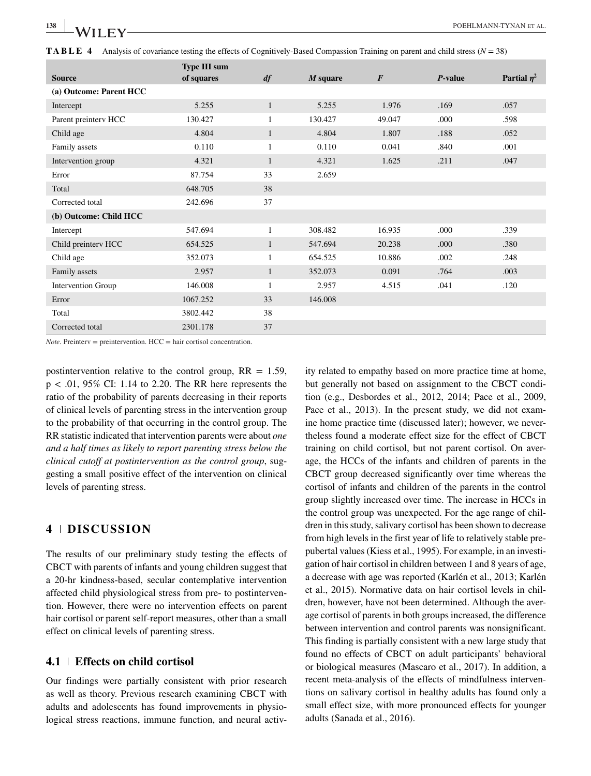$-\mathbf{W}$ i i $-\mathbf{W}$   $\mathbf{F}$   $\mathbf{V}$   $\mathbf{F}$   $\mathbf{V}$   $\mathbf{F}$   $\mathbf{W}$   $\mathbf{F}$   $\mathbf{F}$   $\mathbf{F}$   $\mathbf{F}$   $\mathbf{F}$   $\mathbf{F}$   $\mathbf{F}$   $\mathbf{F}$   $\mathbf{F}$   $\mathbf{F}$   $\mathbf{F}$   $\mathbf{F}$   $\mathbf{F}$   $\mathbf{F}$   $\mathbf{F}$   $\mathbf{F}$   $\math$ 

| <b>Source</b>             | <b>Type III sum</b><br>of squares | df           | $M$ square | $\boldsymbol{F}$ | $P$ -value | Partial $\eta^2$ |
|---------------------------|-----------------------------------|--------------|------------|------------------|------------|------------------|
| (a) Outcome: Parent HCC   |                                   |              |            |                  |            |                  |
| Intercept                 | 5.255                             | $\mathbf{1}$ | 5.255      | 1.976            | .169       | .057             |
| Parent preinterv HCC      | 130.427                           | 1            | 130.427    | 49.047           | .000       | .598             |
| Child age                 | 4.804                             | $\mathbf{1}$ | 4.804      | 1.807            | .188       | .052             |
| Family assets             | 0.110                             | 1            | 0.110      | 0.041            | .840       | .001             |
| Intervention group        | 4.321                             | $\mathbf{1}$ | 4.321      | 1.625            | .211       | .047             |
| Error                     | 87.754                            | 33           | 2.659      |                  |            |                  |
| Total                     | 648.705                           | 38           |            |                  |            |                  |
| Corrected total           | 242.696                           | 37           |            |                  |            |                  |
| (b) Outcome: Child HCC    |                                   |              |            |                  |            |                  |
|                           |                                   |              |            |                  |            |                  |
| Intercept                 | 547.694                           | $\mathbf{1}$ | 308.482    | 16.935           | .000       | .339             |
| Child preinterv HCC       | 654.525                           | $\mathbf{1}$ | 547.694    | 20.238           | .000       | .380             |
| Child age                 | 352.073                           | 1            | 654.525    | 10.886           | .002       | .248             |
| Family assets             | 2.957                             | $\mathbf{1}$ | 352.073    | 0.091            | .764       | .003             |
| <b>Intervention Group</b> | 146.008                           | 1            | 2.957      | 4.515            | .041       | .120             |
| Error                     | 1067.252                          | 33           | 146.008    |                  |            |                  |
| Total                     | 3802.442                          | 38           |            |                  |            |                  |
| Corrected total           | 2301.178                          | 37           |            |                  |            |                  |

*Note.* Preinterv = preintervention.  $HCC =$  hair cortisol concentration.

postintervention relative to the control group,  $RR = 1.59$ , p *<* .01, 95% CI: 1.14 to 2.20. The RR here represents the ratio of the probability of parents decreasing in their reports of clinical levels of parenting stress in the intervention group to the probability of that occurring in the control group. The RR statistic indicated that intervention parents were about *one and a half times as likely to report parenting stress below the clinical cutoff at postintervention as the control group*, suggesting a small positive effect of the intervention on clinical levels of parenting stress.

#### **4 DISCUSSION**

The results of our preliminary study testing the effects of CBCT with parents of infants and young children suggest that a 20-hr kindness-based, secular contemplative intervention affected child physiological stress from pre- to postintervention. However, there were no intervention effects on parent hair cortisol or parent self-report measures, other than a small effect on clinical levels of parenting stress.

#### **4.1 Effects on child cortisol**

Our findings were partially consistent with prior research as well as theory. Previous research examining CBCT with adults and adolescents has found improvements in physiological stress reactions, immune function, and neural activity related to empathy based on more practice time at home, but generally not based on assignment to the CBCT condition (e.g., Desbordes et al., 2012, 2014; Pace et al., 2009, Pace et al., 2013). In the present study, we did not examine home practice time (discussed later); however, we nevertheless found a moderate effect size for the effect of CBCT training on child cortisol, but not parent cortisol. On average, the HCCs of the infants and children of parents in the CBCT group decreased significantly over time whereas the cortisol of infants and children of the parents in the control group slightly increased over time. The increase in HCCs in the control group was unexpected. For the age range of children in this study, salivary cortisol has been shown to decrease from high levels in the first year of life to relatively stable prepubertal values (Kiess et al., 1995). For example, in an investigation of hair cortisol in children between 1 and 8 years of age, a decrease with age was reported (Karlén et al., 2013; Karlén et al., 2015). Normative data on hair cortisol levels in children, however, have not been determined. Although the average cortisol of parents in both groups increased, the difference between intervention and control parents was nonsignificant. This finding is partially consistent with a new large study that found no effects of CBCT on adult participants' behavioral or biological measures (Mascaro et al., 2017). In addition, a recent meta-analysis of the effects of mindfulness interventions on salivary cortisol in healthy adults has found only a small effect size, with more pronounced effects for younger adults (Sanada et al., 2016).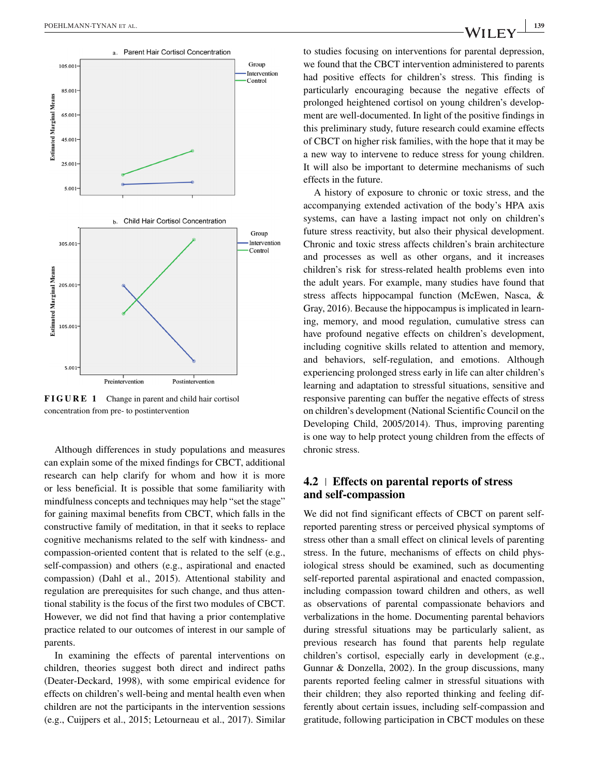

**FIGURE 1** Change in parent and child hair cortisol concentration from pre- to postintervention

Although differences in study populations and measures can explain some of the mixed findings for CBCT, additional research can help clarify for whom and how it is more or less beneficial. It is possible that some familiarity with mindfulness concepts and techniques may help "set the stage" for gaining maximal benefits from CBCT, which falls in the constructive family of meditation, in that it seeks to replace cognitive mechanisms related to the self with kindness- and compassion-oriented content that is related to the self (e.g., self-compassion) and others (e.g., aspirational and enacted compassion) (Dahl et al., 2015). Attentional stability and regulation are prerequisites for such change, and thus attentional stability is the focus of the first two modules of CBCT. However, we did not find that having a prior contemplative practice related to our outcomes of interest in our sample of parents.

In examining the effects of parental interventions on children, theories suggest both direct and indirect paths (Deater-Deckard, 1998), with some empirical evidence for effects on children's well-being and mental health even when children are not the participants in the intervention sessions (e.g., Cuijpers et al., 2015; Letourneau et al., 2017). Similar to studies focusing on interventions for parental depression, we found that the CBCT intervention administered to parents had positive effects for children's stress. This finding is particularly encouraging because the negative effects of prolonged heightened cortisol on young children's development are well-documented. In light of the positive findings in this preliminary study, future research could examine effects of CBCT on higher risk families, with the hope that it may be a new way to intervene to reduce stress for young children. It will also be important to determine mechanisms of such effects in the future.

A history of exposure to chronic or toxic stress, and the accompanying extended activation of the body's HPA axis systems, can have a lasting impact not only on children's future stress reactivity, but also their physical development. Chronic and toxic stress affects children's brain architecture and processes as well as other organs, and it increases children's risk for stress-related health problems even into the adult years. For example, many studies have found that stress affects hippocampal function (McEwen, Nasca, & Gray, 2016). Because the hippocampus is implicated in learning, memory, and mood regulation, cumulative stress can have profound negative effects on children's development, including cognitive skills related to attention and memory, and behaviors, self-regulation, and emotions. Although experiencing prolonged stress early in life can alter children's learning and adaptation to stressful situations, sensitive and responsive parenting can buffer the negative effects of stress on children's development (National Scientific Council on the Developing Child, 2005/2014). Thus, improving parenting is one way to help protect young children from the effects of chronic stress.

### **4.2 Effects on parental reports of stress and self-compassion**

We did not find significant effects of CBCT on parent selfreported parenting stress or perceived physical symptoms of stress other than a small effect on clinical levels of parenting stress. In the future, mechanisms of effects on child physiological stress should be examined, such as documenting self-reported parental aspirational and enacted compassion, including compassion toward children and others, as well as observations of parental compassionate behaviors and verbalizations in the home. Documenting parental behaviors during stressful situations may be particularly salient, as previous research has found that parents help regulate children's cortisol, especially early in development (e.g., Gunnar & Donzella, 2002). In the group discussions, many parents reported feeling calmer in stressful situations with their children; they also reported thinking and feeling differently about certain issues, including self-compassion and gratitude, following participation in CBCT modules on these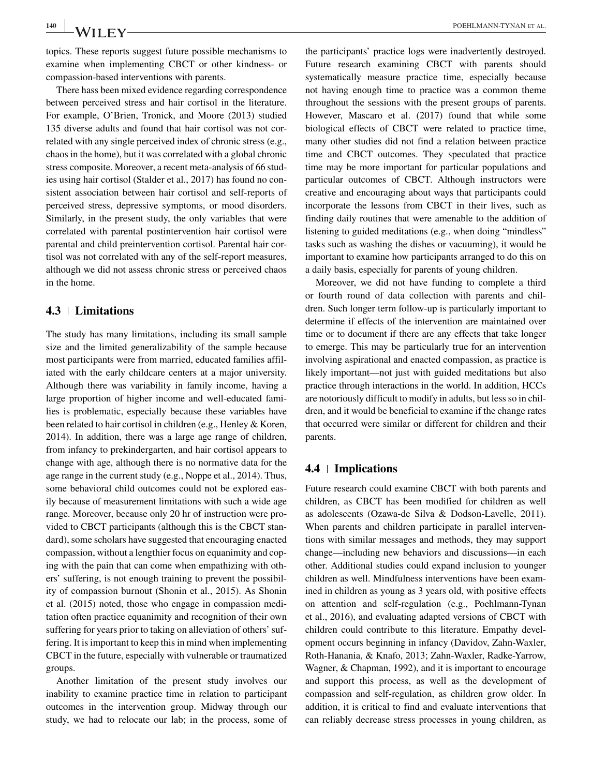topics. These reports suggest future possible mechanisms to examine when implementing CBCT or other kindness- or compassion-based interventions with parents.

There hass been mixed evidence regarding correspondence between perceived stress and hair cortisol in the literature. For example, O'Brien, Tronick, and Moore (2013) studied 135 diverse adults and found that hair cortisol was not correlated with any single perceived index of chronic stress (e.g., chaos in the home), but it was correlated with a global chronic stress composite. Moreover, a recent meta-analysis of 66 studies using hair cortisol (Stalder et al., 2017) has found no consistent association between hair cortisol and self-reports of perceived stress, depressive symptoms, or mood disorders. Similarly, in the present study, the only variables that were correlated with parental postintervention hair cortisol were parental and child preintervention cortisol. Parental hair cortisol was not correlated with any of the self-report measures, although we did not assess chronic stress or perceived chaos in the home.

#### **4.3 Limitations**

The study has many limitations, including its small sample size and the limited generalizability of the sample because most participants were from married, educated families affiliated with the early childcare centers at a major university. Although there was variability in family income, having a large proportion of higher income and well-educated families is problematic, especially because these variables have been related to hair cortisol in children (e.g., Henley & Koren, 2014). In addition, there was a large age range of children, from infancy to prekindergarten, and hair cortisol appears to change with age, although there is no normative data for the age range in the current study (e.g., Noppe et al., 2014). Thus, some behavioral child outcomes could not be explored easily because of measurement limitations with such a wide age range. Moreover, because only 20 hr of instruction were provided to CBCT participants (although this is the CBCT standard), some scholars have suggested that encouraging enacted compassion, without a lengthier focus on equanimity and coping with the pain that can come when empathizing with others' suffering, is not enough training to prevent the possibility of compassion burnout (Shonin et al., 2015). As Shonin et al. (2015) noted, those who engage in compassion meditation often practice equanimity and recognition of their own suffering for years prior to taking on alleviation of others' suffering. It is important to keep this in mind when implementing CBCT in the future, especially with vulnerable or traumatized groups.

Another limitation of the present study involves our inability to examine practice time in relation to participant outcomes in the intervention group. Midway through our study, we had to relocate our lab; in the process, some of the participants' practice logs were inadvertently destroyed. Future research examining CBCT with parents should systematically measure practice time, especially because not having enough time to practice was a common theme throughout the sessions with the present groups of parents. However, Mascaro et al. (2017) found that while some biological effects of CBCT were related to practice time, many other studies did not find a relation between practice time and CBCT outcomes. They speculated that practice time may be more important for particular populations and particular outcomes of CBCT. Although instructors were creative and encouraging about ways that participants could incorporate the lessons from CBCT in their lives, such as finding daily routines that were amenable to the addition of listening to guided meditations (e.g., when doing "mindless" tasks such as washing the dishes or vacuuming), it would be important to examine how participants arranged to do this on a daily basis, especially for parents of young children.

Moreover, we did not have funding to complete a third or fourth round of data collection with parents and children. Such longer term follow-up is particularly important to determine if effects of the intervention are maintained over time or to document if there are any effects that take longer to emerge. This may be particularly true for an intervention involving aspirational and enacted compassion, as practice is likely important—not just with guided meditations but also practice through interactions in the world. In addition, HCCs are notoriously difficult to modify in adults, but less so in children, and it would be beneficial to examine if the change rates that occurred were similar or different for children and their parents.

#### **4.4 Implications**

Future research could examine CBCT with both parents and children, as CBCT has been modified for children as well as adolescents (Ozawa-de Silva & Dodson-Lavelle, 2011). When parents and children participate in parallel interventions with similar messages and methods, they may support change—including new behaviors and discussions—in each other. Additional studies could expand inclusion to younger children as well. Mindfulness interventions have been examined in children as young as 3 years old, with positive effects on attention and self-regulation (e.g., Poehlmann-Tynan et al., 2016), and evaluating adapted versions of CBCT with children could contribute to this literature. Empathy development occurs beginning in infancy (Davidov, Zahn-Waxler, Roth-Hanania, & Knafo, 2013; Zahn-Waxler, Radke-Yarrow, Wagner, & Chapman, 1992), and it is important to encourage and support this process, as well as the development of compassion and self-regulation, as children grow older. In addition, it is critical to find and evaluate interventions that can reliably decrease stress processes in young children, as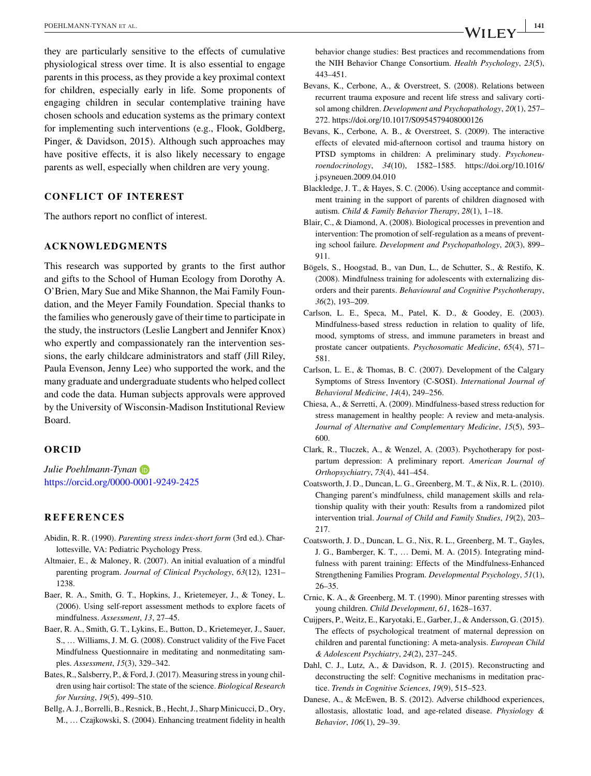they are particularly sensitive to the effects of cumulative physiological stress over time. It is also essential to engage parents in this process, as they provide a key proximal context for children, especially early in life. Some proponents of engaging children in secular contemplative training have chosen schools and education systems as the primary context for implementing such interventions (e.g., Flook, Goldberg, Pinger, & Davidson, 2015). Although such approaches may have positive effects, it is also likely necessary to engage parents as well, especially when children are very young.

#### **CONFLICT OF INTEREST**

The authors report no conflict of interest.

#### **ACKNOWLEDGMENTS**

This research was supported by grants to the first author and gifts to the School of Human Ecology from Dorothy A. O'Brien, Mary Sue and Mike Shannon, the Mai Family Foundation, and the Meyer Family Foundation. Special thanks to the families who generously gave of their time to participate in the study, the instructors (Leslie Langbert and Jennifer Knox) who expertly and compassionately ran the intervention sessions, the early childcare administrators and staff (Jill Riley, Paula Evenson, Jenny Lee) who supported the work, and the many graduate and undergraduate students who helped collect and code the data. Human subjects approvals were approved by the University of Wisconsin-Madison Institutional Review Board.

#### **ORCID**

*Julie Poehlmann-Tynan* <https://orcid.org/0000-0001-9249-2425>

#### **REFERENCES**

- Abidin, R. R. (1990). *Parenting stress index-short form* (3rd ed.). Charlottesville, VA: Pediatric Psychology Press.
- Altmaier, E., & Maloney, R. (2007). An initial evaluation of a mindful parenting program. *Journal of Clinical Psychology*, *63*(12), 1231– 1238.
- Baer, R. A., Smith, G. T., Hopkins, J., Krietemeyer, J., & Toney, L. (2006). Using self-report assessment methods to explore facets of mindfulness. *Assessment*, *13*, 27–45.
- Baer, R. A., Smith, G. T., Lykins, E., Button, D., Krietemeyer, J., Sauer, S., … Williams, J. M. G. (2008). Construct validity of the Five Facet Mindfulness Questionnaire in meditating and nonmeditating samples. *Assessment*, *15*(3), 329–342.
- Bates, R., Salsberry, P., & Ford, J. (2017). Measuring stress in young children using hair cortisol: The state of the science. *Biological Research for Nursing*, *19*(5), 499–510.
- Bellg, A. J., Borrelli, B., Resnick, B., Hecht, J., Sharp Minicucci, D., Ory, M., … Czajkowski, S. (2004). Enhancing treatment fidelity in health
- Bevans, K., Cerbone, A., & Overstreet, S. (2008). Relations between recurrent trauma exposure and recent life stress and salivary cortisol among children. *Development and Psychopathology*, *20*(1), 257– 272.<https://doi.org/10.1017/S0954579408000126>
- Bevans, K., Cerbone, A. B., & Overstreet, S. (2009). The interactive effects of elevated mid-afternoon cortisol and trauma history on PTSD symptoms in children: A preliminary study. *Psychoneuroendocrinology*, *34*(10), 1582–1585. [https://doi.org/10.1016/](https://doi.org/10.1016/j.psyneuen.2009.04.010) [j.psyneuen.2009.04.010](https://doi.org/10.1016/j.psyneuen.2009.04.010)
- Blackledge, J. T., & Hayes, S. C. (2006). Using acceptance and commitment training in the support of parents of children diagnosed with autism. *Child & Family Behavior Therapy*, *28*(1), 1–18.
- Blair, C., & Diamond, A. (2008). Biological processes in prevention and intervention: The promotion of self-regulation as a means of preventing school failure. *Development and Psychopathology*, *20*(3), 899– 911.
- Bögels, S., Hoogstad, B., van Dun, L., de Schutter, S., & Restifo, K. (2008). Mindfulness training for adolescents with externalizing disorders and their parents. *Behavioural and Cognitive Psychotherapy*, *36*(2), 193–209.
- Carlson, L. E., Speca, M., Patel, K. D., & Goodey, E. (2003). Mindfulness-based stress reduction in relation to quality of life, mood, symptoms of stress, and immune parameters in breast and prostate cancer outpatients. *Psychosomatic Medicine*, *65*(4), 571– 581.
- Carlson, L. E., & Thomas, B. C. (2007). Development of the Calgary Symptoms of Stress Inventory (C-SOSI). *International Journal of Behavioral Medicine*, *14*(4), 249–256.
- Chiesa, A., & Serretti, A. (2009). Mindfulness-based stress reduction for stress management in healthy people: A review and meta-analysis. *Journal of Alternative and Complementary Medicine*, *15*(5), 593– 600.
- Clark, R., Tluczek, A., & Wenzel, A. (2003). Psychotherapy for postpartum depression: A preliminary report. *American Journal of Orthopsychiatry*, *73*(4), 441–454.
- Coatsworth, J. D., Duncan, L. G., Greenberg, M. T., & Nix, R. L. (2010). Changing parent's mindfulness, child management skills and relationship quality with their youth: Results from a randomized pilot intervention trial. *Journal of Child and Family Studies*, *19*(2), 203– 217.
- Coatsworth, J. D., Duncan, L. G., Nix, R. L., Greenberg, M. T., Gayles, J. G., Bamberger, K. T., … Demi, M. A. (2015). Integrating mindfulness with parent training: Effects of the Mindfulness-Enhanced Strengthening Families Program. *Developmental Psychology*, *51*(1), 26–35.
- Crnic, K. A., & Greenberg, M. T. (1990). Minor parenting stresses with young children. *Child Development*, *61*, 1628–1637.
- Cuijpers, P., Weitz, E., Karyotaki, E., Garber, J., & Andersson, G. (2015). The effects of psychological treatment of maternal depression on children and parental functioning: A meta-analysis. *European Child & Adolescent Psychiatry*, *24*(2), 237–245.
- Dahl, C. J., Lutz, A., & Davidson, R. J. (2015). Reconstructing and deconstructing the self: Cognitive mechanisms in meditation practice. *Trends in Cognitive Sciences*, *19*(9), 515–523.
- Danese, A., & McEwen, B. S. (2012). Adverse childhood experiences, allostasis, allostatic load, and age-related disease. *Physiology & Behavior*, *106*(1), 29–39.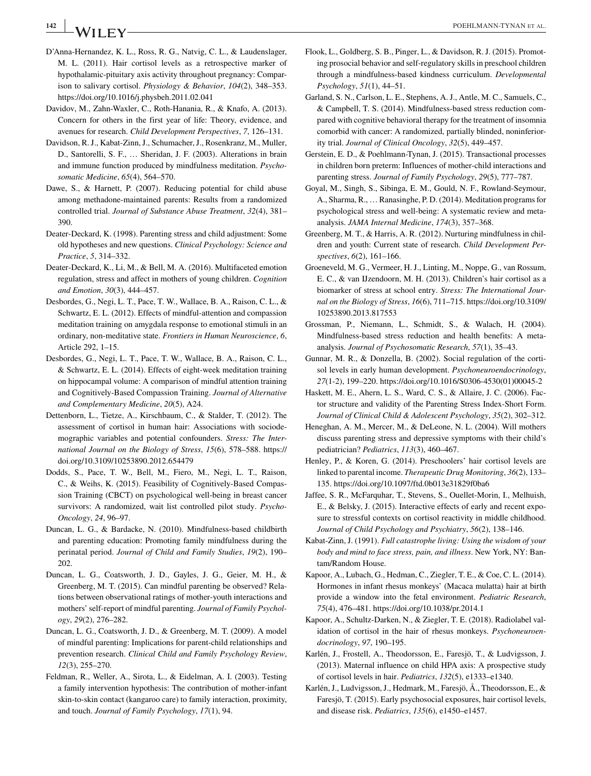- D'Anna-Hernandez, K. L., Ross, R. G., Natvig, C. L., & Laudenslager, M. L. (2011). Hair cortisol levels as a retrospective marker of hypothalamic-pituitary axis activity throughout pregnancy: Comparison to salivary cortisol. *Physiology & Behavior*, *104*(2), 348–353. <https://doi.org/10.1016/j.physbeh.2011.02.041>
- Davidov, M., Zahn-Waxler, C., Roth-Hanania, R., & Knafo, A. (2013). Concern for others in the first year of life: Theory, evidence, and avenues for research. *Child Development Perspectives*, *7*, 126–131.
- Davidson, R. J., Kabat-Zinn, J., Schumacher, J., Rosenkranz, M., Muller, D., Santorelli, S. F., … Sheridan, J. F. (2003). Alterations in brain and immune function produced by mindfulness meditation. *Psychosomatic Medicine*, *65*(4), 564–570.
- Dawe, S., & Harnett, P. (2007). Reducing potential for child abuse among methadone-maintained parents: Results from a randomized controlled trial. *Journal of Substance Abuse Treatment*, *32*(4), 381– 390.
- Deater-Deckard, K. (1998). Parenting stress and child adjustment: Some old hypotheses and new questions. *Clinical Psychology: Science and Practice*, *5*, 314–332.
- Deater-Deckard, K., Li, M., & Bell, M. A. (2016). Multifaceted emotion regulation, stress and affect in mothers of young children. *Cognition and Emotion*, *30*(3), 444–457.
- Desbordes, G., Negi, L. T., Pace, T. W., Wallace, B. A., Raison, C. L., & Schwartz, E. L. (2012). Effects of mindful-attention and compassion meditation training on amygdala response to emotional stimuli in an ordinary, non-meditative state. *Frontiers in Human Neuroscience*, *6*, Article 292, 1–15.
- Desbordes, G., Negi, L. T., Pace, T. W., Wallace, B. A., Raison, C. L., & Schwartz, E. L. (2014). Effects of eight-week meditation training on hippocampal volume: A comparison of mindful attention training and Cognitively-Based Compassion Training. *Journal of Alternative and Complementary Medicine*, *20*(5), A24.
- Dettenborn, L., Tietze, A., Kirschbaum, C., & Stalder, T. (2012). The assessment of cortisol in human hair: Associations with sociodemographic variables and potential confounders. *Stress: The International Journal on the Biology of Stress*, *15*(6), 578–588. [https://](https://doi.org/10.3109/10253890.2012.654479) [doi.org/10.3109/10253890.2012.654479](https://doi.org/10.3109/10253890.2012.654479)
- Dodds, S., Pace, T. W., Bell, M., Fiero, M., Negi, L. T., Raison, C., & Weihs, K. (2015). Feasibility of Cognitively-Based Compassion Training (CBCT) on psychological well-being in breast cancer survivors: A randomized, wait list controlled pilot study. *Psycho-Oncology*, *24*, 96–97.
- Duncan, L. G., & Bardacke, N. (2010). Mindfulness-based childbirth and parenting education: Promoting family mindfulness during the perinatal period. *Journal of Child and Family Studies*, *19*(2), 190– 202.
- Duncan, L. G., Coatsworth, J. D., Gayles, J. G., Geier, M. H., & Greenberg, M. T. (2015). Can mindful parenting be observed? Relations between observational ratings of mother-youth interactions and mothers' self-report of mindful parenting. *Journal of Family Psychology*, *29*(2), 276–282.
- Duncan, L. G., Coatsworth, J. D., & Greenberg, M. T. (2009). A model of mindful parenting: Implications for parent-child relationships and prevention research. *Clinical Child and Family Psychology Review*, *12*(3), 255–270.
- Feldman, R., Weller, A., Sirota, L., & Eidelman, A. I. (2003). Testing a family intervention hypothesis: The contribution of mother-infant skin-to-skin contact (kangaroo care) to family interaction, proximity, and touch. *Journal of Family Psychology*, *17*(1), 94.
- Flook, L., Goldberg, S. B., Pinger, L., & Davidson, R. J. (2015). Promoting prosocial behavior and self-regulatory skills in preschool children through a mindfulness-based kindness curriculum. *Developmental Psychology*, *51*(1), 44–51.
- Garland, S. N., Carlson, L. E., Stephens, A. J., Antle, M. C., Samuels, C., & Campbell, T. S. (2014). Mindfulness-based stress reduction compared with cognitive behavioral therapy for the treatment of insomnia comorbid with cancer: A randomized, partially blinded, noninferiority trial. *Journal of Clinical Oncology*, *32*(5), 449–457.
- Gerstein, E. D., & Poehlmann-Tynan, J. (2015). Transactional processes in children born preterm: Influences of mother-child interactions and parenting stress. *Journal of Family Psychology*, *29*(5), 777–787.
- Goyal, M., Singh, S., Sibinga, E. M., Gould, N. F., Rowland-Seymour, A., Sharma, R., … Ranasinghe, P. D. (2014). Meditation programs for psychological stress and well-being: A systematic review and metaanalysis. *JAMA Internal Medicine*, *174*(3), 357–368.
- Greenberg, M. T., & Harris, A. R. (2012). Nurturing mindfulness in children and youth: Current state of research. *Child Development Perspectives*, *6*(2), 161–166.
- Groeneveld, M. G., Vermeer, H. J., Linting, M., Noppe, G., van Rossum, E. C., & van IJzendoorn, M. H. (2013). Children's hair cortisol as a biomarker of stress at school entry. *Stress: The International Journal on the Biology of Stress*, *16*(6), 711–715. [https://doi.org/10.3109/](https://doi.org/10.3109/10253890.2013.817553) [10253890.2013.817553](https://doi.org/10.3109/10253890.2013.817553)
- Grossman, P., Niemann, L., Schmidt, S., & Walach, H. (2004). Mindfulness-based stress reduction and health benefits: A metaanalysis. *Journal of Psychosomatic Research*, *57*(1), 35–43.
- Gunnar, M. R., & Donzella, B. (2002). Social regulation of the cortisol levels in early human development. *Psychoneuroendocrinology*, *27*(1-2), 199–220. [https://doi.org/10.1016/S0306-4530\(01\)00045-2](https://doi.org/10.1016/S0306-4530\05001\05100045-2)
- Haskett, M. E., Ahern, L. S., Ward, C. S., & Allaire, J. C. (2006). Factor structure and validity of the Parenting Stress Index-Short Form. *Journal of Clinical Child & Adolescent Psychology*, *35*(2), 302–312.
- Heneghan, A. M., Mercer, M., & DeLeone, N. L. (2004). Will mothers discuss parenting stress and depressive symptoms with their child's pediatrician? *Pediatrics*, *113*(3), 460–467.
- Henley, P., & Koren, G. (2014). Preschoolers' hair cortisol levels are linked to parental income. *Therapeutic Drug Monitoring*, *36*(2), 133– 135.<https://doi.org/10.1097/ftd.0b013e31829f0ba6>
- Jaffee, S. R., McFarquhar, T., Stevens, S., Ouellet-Morin, I., Melhuish, E., & Belsky, J. (2015). Interactive effects of early and recent exposure to stressful contexts on cortisol reactivity in middle childhood. *Journal of Child Psychology and Psychiatry*, *56*(2), 138–146.
- Kabat-Zinn, J. (1991). *Full catastrophe living: Using the wisdom of your body and mind to face stress, pain, and illness*. New York, NY: Bantam/Random House.
- Kapoor, A., Lubach, G., Hedman, C., Ziegler, T. E., & Coe, C. L. (2014). Hormones in infant rhesus monkeys' (Macaca mulatta) hair at birth provide a window into the fetal environment. *Pediatric Research*, *75*(4), 476–481.<https://doi.org/10.1038/pr.2014.1>
- Kapoor, A., Schultz-Darken, N., & Ziegler, T. E. (2018). Radiolabel validation of cortisol in the hair of rhesus monkeys. *Psychoneuroendocrinology*, *97*, 190–195.
- Karlén, J., Frostell, A., Theodorsson, E., Faresjö, T., & Ludvigsson, J. (2013). Maternal influence on child HPA axis: A prospective study of cortisol levels in hair. *Pediatrics*, *132*(5), e1333–e1340.
- Karlén, J., Ludvigsson, J., Hedmark, M., Faresjö, Å., Theodorsson, E., & Faresjö, T. (2015). Early psychosocial exposures, hair cortisol levels, and disease risk. *Pediatrics*, *135*(6), e1450–e1457.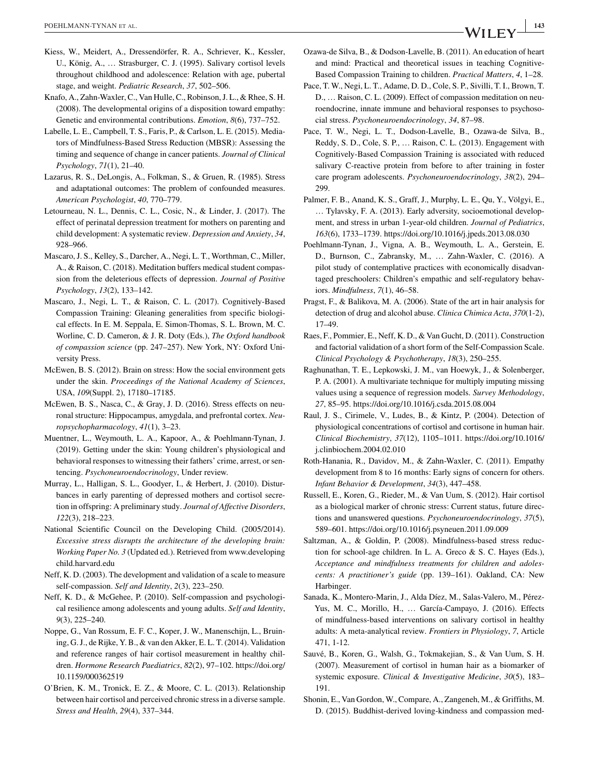- Kiess, W., Meidert, A., Dressendörfer, R. A., Schriever, K., Kessler, U., König, A., … Strasburger, C. J. (1995). Salivary cortisol levels throughout childhood and adolescence: Relation with age, pubertal stage, and weight. *Pediatric Research*, *37*, 502–506.
- Knafo, A., Zahn-Waxler, C., Van Hulle, C., Robinson, J. L., & Rhee, S. H. (2008). The developmental origins of a disposition toward empathy: Genetic and environmental contributions. *Emotion*, *8*(6), 737–752.
- Labelle, L. E., Campbell, T. S., Faris, P., & Carlson, L. E. (2015). Mediators of Mindfulness-Based Stress Reduction (MBSR): Assessing the timing and sequence of change in cancer patients. *Journal of Clinical Psychology*, *71*(1), 21–40.
- Lazarus, R. S., DeLongis, A., Folkman, S., & Gruen, R. (1985). Stress and adaptational outcomes: The problem of confounded measures. *American Psychologist*, *40*, 770–779.
- Letourneau, N. L., Dennis, C. L., Cosic, N., & Linder, J. (2017). The effect of perinatal depression treatment for mothers on parenting and child development: A systematic review. *Depression and Anxiety*, *34*, 928–966.
- Mascaro, J. S., Kelley, S., Darcher, A., Negi, L. T., Worthman, C., Miller, A., & Raison, C. (2018). Meditation buffers medical student compassion from the deleterious effects of depression. *Journal of Positive Psychology*, *13*(2), 133–142.
- Mascaro, J., Negi, L. T., & Raison, C. L. (2017). Cognitively-Based Compassion Training: Gleaning generalities from specific biological effects. In E. M. Seppala, E. Simon-Thomas, S. L. Brown, M. C. Worline, C. D. Cameron, & J. R. Doty (Eds.), *The Oxford handbook of compassion science* (pp. 247–257). New York, NY: Oxford University Press.
- McEwen, B. S. (2012). Brain on stress: How the social environment gets under the skin. *Proceedings of the National Academy of Sciences*, USA, *109*(Suppl. 2), 17180–17185.
- McEwen, B. S., Nasca, C., & Gray, J. D. (2016). Stress effects on neuronal structure: Hippocampus, amygdala, and prefrontal cortex. *Neuropsychopharmacology*, *41*(1), 3–23.
- Muentner, L., Weymouth, L. A., Kapoor, A., & Poehlmann-Tynan, J. (2019). Getting under the skin: Young children's physiological and behavioral responses to witnessing their fathers' crime, arrest, or sentencing. *Psychoneuroendocrinology*, Under review.
- Murray, L., Halligan, S. L., Goodyer, I., & Herbert, J. (2010). Disturbances in early parenting of depressed mothers and cortisol secretion in offspring: A preliminary study. *Journal of Affective Disorders*, *122*(3), 218–223.
- National Scientific Council on the Developing Child. (2005/2014). *Excessive stress disrupts the architecture of the developing brain: Working Paper No. 3* (Updated ed.). Retrieved from [www.developing](http://www.developingchild.harvard.edu) [child.harvard.edu](http://www.developingchild.harvard.edu)
- Neff, K. D. (2003). The development and validation of a scale to measure self-compassion. *Self and Identity*, *2*(3), 223–250.
- Neff, K. D., & McGehee, P. (2010). Self-compassion and psychological resilience among adolescents and young adults. *Self and Identity*, *9*(3), 225–240.
- Noppe, G., Van Rossum, E. F. C., Koper, J. W., Manenschijn, L., Bruining, G. J., de Rijke, Y. B., & van den Akker, E. L. T. (2014). Validation and reference ranges of hair cortisol measurement in healthy children. *Hormone Research Paediatrics*, *82*(2), 97–102. [https://doi.org/](https://doi.org/10.1159/000362519) [10.1159/000362519](https://doi.org/10.1159/000362519)
- O'Brien, K. M., Tronick, E. Z., & Moore, C. L. (2013). Relationship between hair cortisol and perceived chronic stress in a diverse sample. *Stress and Health*, *29*(4), 337–344.
- Ozawa-de Silva, B., & Dodson-Lavelle, B. (2011). An education of heart and mind: Practical and theoretical issues in teaching Cognitive-Based Compassion Training to children. *Practical Matters*, *4*, 1–28.
- Pace, T. W., Negi, L. T., Adame, D. D., Cole, S. P., Sivilli, T. I., Brown, T. D., … Raison, C. L. (2009). Effect of compassion meditation on neuroendocrine, innate immune and behavioral responses to psychosocial stress. *Psychoneuroendocrinology*, *34*, 87–98.
- Pace, T. W., Negi, L. T., Dodson-Lavelle, B., Ozawa-de Silva, B., Reddy, S. D., Cole, S. P., … Raison, C. L. (2013). Engagement with Cognitively-Based Compassion Training is associated with reduced salivary C-reactive protein from before to after training in foster care program adolescents. *Psychoneuroendocrinology*, *38*(2), 294– 299.
- Palmer, F. B., Anand, K. S., Graff, J., Murphy, L. E., Qu, Y., Völgyi, E., … Tylavsky, F. A. (2013). Early adversity, socioemotional development, and stress in urban 1-year-old children. *Journal of Pediatrics*, *163*(6), 1733–1739.<https://doi.org/10.1016/j.jpeds.2013.08.030>
- Poehlmann-Tynan, J., Vigna, A. B., Weymouth, L. A., Gerstein, E. D., Burnson, C., Zabransky, M., … Zahn-Waxler, C. (2016). A pilot study of contemplative practices with economically disadvantaged preschoolers: Children's empathic and self-regulatory behaviors. *Mindfulness*, *7*(1), 46–58.
- Pragst, F., & Balikova, M. A. (2006). State of the art in hair analysis for detection of drug and alcohol abuse. *Clinica Chimica Acta*, *370*(1-2), 17–49.
- Raes, F., Pommier, E., Neff, K. D., & Van Gucht, D. (2011). Construction and factorial validation of a short form of the Self-Compassion Scale. *Clinical Psychology & Psychotherapy*, *18*(3), 250–255.
- Raghunathan, T. E., Lepkowski, J. M., van Hoewyk, J., & Solenberger, P. A. (2001). A multivariate technique for multiply imputing missing values using a sequence of regression models. *Survey Methodology*, *27*, 85–95.<https://doi.org/10.1016/j.csda.2015.08.004>
- Raul, J. S., Cirimele, V., Ludes, B., & Kintz, P. (2004). Detection of physiological concentrations of cortisol and cortisone in human hair. *Clinical Biochemistry*, *37*(12), 1105–1011. [https://doi.org/10.1016/](https://doi.org/10.1016/j.clinbiochem.2004.02.010) [j.clinbiochem.2004.02.010](https://doi.org/10.1016/j.clinbiochem.2004.02.010)
- Roth-Hanania, R., Davidov, M., & Zahn-Waxler, C. (2011). Empathy development from 8 to 16 months: Early signs of concern for others. *Infant Behavior & Development*, *34*(3), 447–458.
- Russell, E., Koren, G., Rieder, M., & Van Uum, S. (2012). Hair cortisol as a biological marker of chronic stress: Current status, future directions and unanswered questions. *Psychoneuroendocrinology*, *37*(5), 589–601.<https://doi.org/10.1016/j.psyneuen.2011.09.009>
- Saltzman, A., & Goldin, P. (2008). Mindfulness-based stress reduction for school-age children. In L. A. Greco & S. C. Hayes (Eds.), *Acceptance and mindfulness treatments for children and adolescents: A practitioner's guide* (pp. 139–161). Oakland, CA: New Harbinger.
- Sanada, K., Montero-Marin, J., Alda Díez, M., Salas-Valero, M., Pérez-Yus, M. C., Morillo, H., … García-Campayo, J. (2016). Effects of mindfulness-based interventions on salivary cortisol in healthy adults: A meta-analytical review. *Frontiers in Physiology*, *7*, Article 471, 1-12.
- Sauvé, B., Koren, G., Walsh, G., Tokmakejian, S., & Van Uum, S. H. (2007). Measurement of cortisol in human hair as a biomarker of systemic exposure. *Clinical & Investigative Medicine*, *30*(5), 183– 191.
- Shonin, E., Van Gordon, W., Compare, A., Zangeneh, M., & Griffiths, M. D. (2015). Buddhist-derived loving-kindness and compassion med-